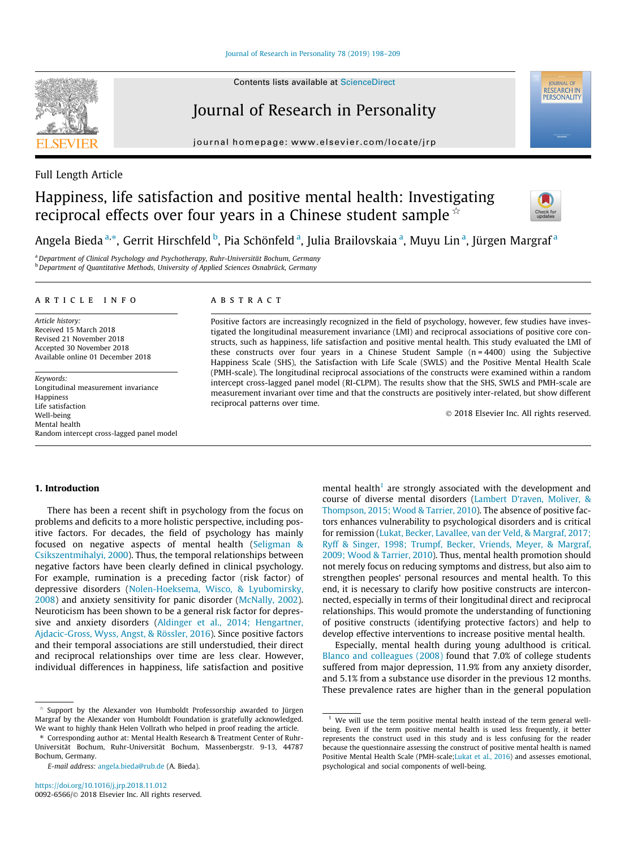## Journal of Research in Personality

journal homepage: [www.elsevier.com/locate/jrp](http://www.elsevier.com/locate/jrp)

## Full Length Article

# Happiness, life satisfaction and positive mental health: Investigating reciprocal effects over four years in a Chinese student sample  $\dot{\phi}$



**IOURNAL OF** RESEARCH IN

Angela Bieda <sup>a,</sup>\*, Gerrit Hirschfeld <sup>b</sup>, Pia Schönfeld <sup>a</sup>, Julia Brailovskaia <sup>a</sup>, Muyu Lin <sup>a</sup>, Jürgen Margraf <sup>a</sup>

<sup>a</sup>Department of Clinical Psychology and Psychotherapy, Ruhr-Universität Bochum, Germany <sup>b</sup> Department of Quantitative Methods, University of Applied Sciences Osnabrück, Germany

## article info

Article history: Received 15 March 2018 Revised 21 November 2018 Accepted 30 November 2018 Available online 01 December 2018

Keywords: Longitudinal measurement invariance Happiness Life satisfaction Well-being Mental health Random intercept cross-lagged panel model

## ABSTRACT

Positive factors are increasingly recognized in the field of psychology, however, few studies have investigated the longitudinal measurement invariance (LMI) and reciprocal associations of positive core constructs, such as happiness, life satisfaction and positive mental health. This study evaluated the LMI of these constructs over four years in a Chinese Student Sample  $(n = 4400)$  using the Subjective Happiness Scale (SHS), the Satisfaction with Life Scale (SWLS) and the Positive Mental Health Scale (PMH-scale). The longitudinal reciprocal associations of the constructs were examined within a random intercept cross-lagged panel model (RI-CLPM). The results show that the SHS, SWLS and PMH-scale are measurement invariant over time and that the constructs are positively inter-related, but show different reciprocal patterns over time.

2018 Elsevier Inc. All rights reserved.

## 1. Introduction

There has been a recent shift in psychology from the focus on problems and deficits to a more holistic perspective, including positive factors. For decades, the field of psychology has mainly focused on negative aspects of mental health ([Seligman &](#page-11-0) [Csikszentmihalyi, 2000\)](#page-11-0). Thus, the temporal relationships between negative factors have been clearly defined in clinical psychology. For example, rumination is a preceding factor (risk factor) of depressive disorders ([Nolen-Hoeksema, Wisco, & Lyubomirsky,](#page-11-0) [2008\)](#page-11-0) and anxiety sensitivity for panic disorder ([McNally, 2002\)](#page-10-0). Neuroticism has been shown to be a general risk factor for depressive and anxiety disorders [\(Aldinger et al., 2014; Hengartner,](#page-9-0) [Ajdacic-Gross, Wyss, Angst, & Rössler, 2016\)](#page-9-0). Since positive factors and their temporal associations are still understudied, their direct and reciprocal relationships over time are less clear. However, individual differences in happiness, life satisfaction and positive

Support by the Alexander von Humboldt Professorship awarded to Jürgen Margraf by the Alexander von Humboldt Foundation is gratefully acknowledged. We want to highly thank Helen Vollrath who helped in proof reading the article.

⇑ Corresponding author at: Mental Health Research & Treatment Center of Ruhr-Universität Bochum, Ruhr-Universität Bochum, Massenbergstr. 9-13, 44787 Bochum, Germany.

mental health<sup>1</sup> are strongly associated with the development and course of diverse mental disorders ([Lambert D'raven, Moliver, &](#page-10-0) [Thompson, 2015; Wood & Tarrier, 2010\)](#page-10-0). The absence of positive factors enhances vulnerability to psychological disorders and is critical for remission [\(Lukat, Becker, Lavallee, van der Veld, & Margraf, 2017;](#page-10-0) [Ryff & Singer, 1998; Trumpf, Becker, Vriends, Meyer, & Margraf,](#page-10-0) [2009; Wood & Tarrier, 2010](#page-10-0)). Thus, mental health promotion should not merely focus on reducing symptoms and distress, but also aim to strengthen peoples' personal resources and mental health. To this end, it is necessary to clarify how positive constructs are interconnected, especially in terms of their longitudinal direct and reciprocal relationships. This would promote the understanding of functioning of positive constructs (identifying protective factors) and help to develop effective interventions to increase positive mental health.

Especially, mental health during young adulthood is critical. [Blanco and colleagues \(2008\)](#page-9-0) found that 7.0% of college students suffered from major depression, 11.9% from any anxiety disorder, and 5.1% from a substance use disorder in the previous 12 months. These prevalence rates are higher than in the general population



E-mail address: [angela.bieda@rub.de](mailto:angela.bieda@rub.de) (A. Bieda).

 $1$  We will use the term positive mental health instead of the term general wellbeing. Even if the term positive mental health is used less frequently, it better represents the construct used in this study and is less confusing for the reader because the questionnaire assessing the construct of positive mental health is named Positive Mental Health Scale (PMH-scale[;Lukat et al., 2016](#page-10-0)) and assesses emotional, psychological and social components of well-being.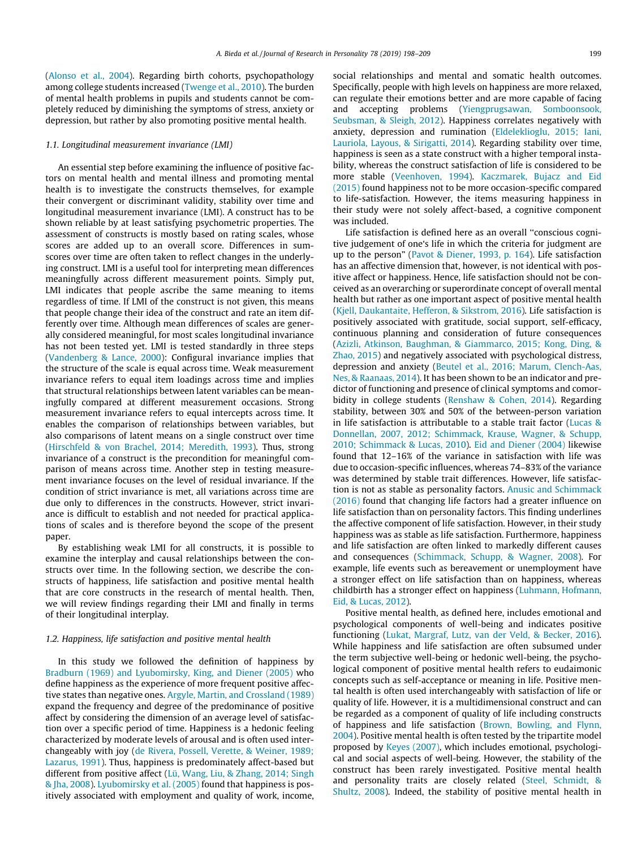([Alonso et al., 2004\)](#page-9-0). Regarding birth cohorts, psychopathology among college students increased ([Twenge et al., 2010](#page-11-0)). The burden of mental health problems in pupils and students cannot be completely reduced by diminishing the symptoms of stress, anxiety or depression, but rather by also promoting positive mental health.

## 1.1. Longitudinal measurement invariance (LMI)

An essential step before examining the influence of positive factors on mental health and mental illness and promoting mental health is to investigate the constructs themselves, for example their convergent or discriminant validity, stability over time and longitudinal measurement invariance (LMI). A construct has to be shown reliable by at least satisfying psychometric properties. The assessment of constructs is mostly based on rating scales, whose scores are added up to an overall score. Differences in sumscores over time are often taken to reflect changes in the underlying construct. LMI is a useful tool for interpreting mean differences meaningfully across different measurement points. Simply put, LMI indicates that people ascribe the same meaning to items regardless of time. If LMI of the construct is not given, this means that people change their idea of the construct and rate an item differently over time. Although mean differences of scales are generally considered meaningful, for most scales longitudinal invariance has not been tested yet. LMI is tested standardly in three steps ([Vandenberg & Lance, 2000\)](#page-11-0): Configural invariance implies that the structure of the scale is equal across time. Weak measurement invariance refers to equal item loadings across time and implies that structural relationships between latent variables can be meaningfully compared at different measurement occasions. Strong measurement invariance refers to equal intercepts across time. It enables the comparison of relationships between variables, but also comparisons of latent means on a single construct over time ([Hirschfeld & von Brachel, 2014; Meredith, 1993](#page-10-0)). Thus, strong invariance of a construct is the precondition for meaningful comparison of means across time. Another step in testing measurement invariance focuses on the level of residual invariance. If the condition of strict invariance is met, all variations across time are due only to differences in the constructs. However, strict invariance is difficult to establish and not needed for practical applications of scales and is therefore beyond the scope of the present paper.

By establishing weak LMI for all constructs, it is possible to examine the interplay and causal relationships between the constructs over time. In the following section, we describe the constructs of happiness, life satisfaction and positive mental health that are core constructs in the research of mental health. Then, we will review findings regarding their LMI and finally in terms of their longitudinal interplay.

## 1.2. Happiness, life satisfaction and positive mental health

In this study we followed the definition of happiness by [Bradburn \(1969\) and Lyubomirsky, King, and Diener \(2005\)](#page-10-0) who define happiness as the experience of more frequent positive affective states than negative ones. [Argyle, Martin, and Crossland \(1989\)](#page-9-0) expand the frequency and degree of the predominance of positive affect by considering the dimension of an average level of satisfaction over a specific period of time. Happiness is a hedonic feeling characterized by moderate levels of arousal and is often used interchangeably with joy [\(de Rivera, Possell, Verette, & Weiner, 1989;](#page-10-0) [Lazarus, 1991\)](#page-10-0). Thus, happiness is predominately affect-based but different from positive affect ([Lü, Wang, Liu, & Zhang, 2014; Singh](#page-10-0) [& Jha, 2008](#page-10-0)). [Lyubomirsky et al. \(2005\)](#page-10-0) found that happiness is positively associated with employment and quality of work, income, social relationships and mental and somatic health outcomes. Specifically, people with high levels on happiness are more relaxed, can regulate their emotions better and are more capable of facing and accepting problems ([Yiengprugsawan, Somboonsook,](#page-11-0) [Seubsman, & Sleigh, 2012](#page-11-0)). Happiness correlates negatively with anxiety, depression and rumination [\(Eldeleklioglu, 2015; Iani,](#page-10-0) [Lauriola, Layous, & Sirigatti, 2014\)](#page-10-0). Regarding stability over time, happiness is seen as a state construct with a higher temporal instability, whereas the construct satisfaction of life is considered to be more stable [\(Veenhoven, 1994\)](#page-11-0). [Kaczmarek, Bujacz and Eid](#page-10-0) [\(2015\)](#page-10-0) found happiness not to be more occasion-specific compared to life-satisfaction. However, the items measuring happiness in their study were not solely affect-based, a cognitive component was included.

Life satisfaction is defined here as an overall ''conscious cognitive judgement of one's life in which the criteria for judgment are up to the person" [\(Pavot & Diener, 1993, p. 164](#page-11-0)). Life satisfaction has an affective dimension that, however, is not identical with positive affect or happiness. Hence, life satisfaction should not be conceived as an overarching or superordinate concept of overall mental health but rather as one important aspect of positive mental health ([Kjell, Daukantaite, Hefferon, & Sikstrom, 2016\)](#page-10-0). Life satisfaction is positively associated with gratitude, social support, self-efficacy, continuous planning and consideration of future consequences ([Azizli, Atkinson, Baughman, & Giammarco, 2015; Kong, Ding, &](#page-9-0) [Zhao, 2015](#page-9-0)) and negatively associated with psychological distress, depression and anxiety ([Beutel et al., 2016; Marum, Clench-Aas,](#page-9-0) [Nes, & Raanaas, 2014\)](#page-9-0). It has been shown to be an indicator and predictor of functioning and presence of clinical symptoms and comor-bidity in college students [\(Renshaw & Cohen, 2014\)](#page-11-0). Regarding stability, between 30% and 50% of the between-person variation in life satisfaction is attributable to a stable trait factor ([Lucas &](#page-10-0) [Donnellan, 2007, 2012; Schimmack, Krause, Wagner, & Schupp,](#page-10-0) [2010; Schimmack & Lucas, 2010\)](#page-10-0). [Eid and Diener \(2004\)](#page-10-0) likewise found that 12–16% of the variance in satisfaction with life was due to occasion-specific influences, whereas 74–83% of the variance was determined by stable trait differences. However, life satisfaction is not as stable as personality factors. [Anusic and Schimmack](#page-9-0) [\(2016\)](#page-9-0) found that changing life factors had a greater influence on life satisfaction than on personality factors. This finding underlines the affective component of life satisfaction. However, in their study happiness was as stable as life satisfaction. Furthermore, happiness and life satisfaction are often linked to markedly different causes and consequences [\(Schimmack, Schupp, & Wagner, 2008\)](#page-11-0). For example, life events such as bereavement or unemployment have a stronger effect on life satisfaction than on happiness, whereas childbirth has a stronger effect on happiness ([Luhmann, Hofmann,](#page-10-0) [Eid, & Lucas, 2012\)](#page-10-0).

Positive mental health, as defined here, includes emotional and psychological components of well-being and indicates positive functioning [\(Lukat, Margraf, Lutz, van der Veld, & Becker, 2016\)](#page-10-0). While happiness and life satisfaction are often subsumed under the term subjective well-being or hedonic well-being, the psychological component of positive mental health refers to eudaimonic concepts such as self-acceptance or meaning in life. Positive mental health is often used interchangeably with satisfaction of life or quality of life. However, it is a multidimensional construct and can be regarded as a component of quality of life including constructs of happiness and life satisfaction [\(Brown, Bowling, and Flynn,](#page-10-0) [2004](#page-10-0)). Positive mental health is often tested by the tripartite model proposed by [Keyes \(2007\)](#page-10-0), which includes emotional, psychological and social aspects of well-being. However, the stability of the construct has been rarely investigated. Positive mental health and personality traits are closely related ([Steel, Schmidt, &](#page-11-0) [Shultz, 2008\)](#page-11-0). Indeed, the stability of positive mental health in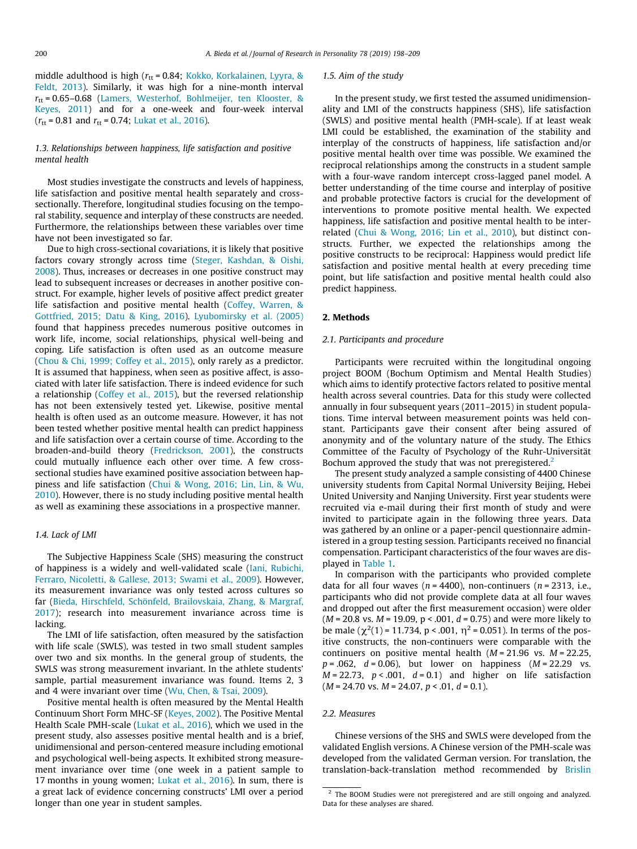middle adulthood is high ( $r_{\text{tt}}$  = 0.84; [Kokko, Korkalainen, Lyyra, &](#page-10-0) [Feldt, 2013](#page-10-0)). Similarly, it was high for a nine-month interval  $r_{\text{tt}} = 0.65 - 0.68$  [\(Lamers, Westerhof, Bohlmeijer, ten Klooster, &](#page-10-0) [Keyes, 2011\)](#page-10-0) and for a one-week and four-week interval  $(r_{tt} = 0.81$  and  $r_{tt} = 0.74$ ; [Lukat et al., 2016](#page-10-0)).

## 1.3. Relationships between happiness, life satisfaction and positive mental health

Most studies investigate the constructs and levels of happiness, life satisfaction and positive mental health separately and crosssectionally. Therefore, longitudinal studies focusing on the temporal stability, sequence and interplay of these constructs are needed. Furthermore, the relationships between these variables over time have not been investigated so far.

Due to high cross-sectional covariations, it is likely that positive factors covary strongly across time ([Steger, Kashdan, & Oishi,](#page-11-0) [2008\)](#page-11-0). Thus, increases or decreases in one positive construct may lead to subsequent increases or decreases in another positive construct. For example, higher levels of positive affect predict greater life satisfaction and positive mental health ([Coffey, Warren, &](#page-10-0) [Gottfried, 2015; Datu & King, 2016\)](#page-10-0). [Lyubomirsky et al. \(2005\)](#page-10-0) found that happiness precedes numerous positive outcomes in work life, income, social relationships, physical well-being and coping. Life satisfaction is often used as an outcome measure ([Chou & Chi, 1999; Coffey et al., 2015](#page-10-0)), only rarely as a predictor. It is assumed that happiness, when seen as positive affect, is associated with later life satisfaction. There is indeed evidence for such a relationship [\(Coffey et al., 2015\)](#page-10-0), but the reversed relationship has not been extensively tested yet. Likewise, positive mental health is often used as an outcome measure. However, it has not been tested whether positive mental health can predict happiness and life satisfaction over a certain course of time. According to the broaden-and-build theory [\(Fredrickson, 2001](#page-10-0)), the constructs could mutually influence each other over time. A few crosssectional studies have examined positive association between happiness and life satisfaction ([Chui & Wong, 2016; Lin, Lin, & Wu,](#page-10-0) [2010\)](#page-10-0). However, there is no study including positive mental health as well as examining these associations in a prospective manner.

## 1.4. Lack of LMI

The Subjective Happiness Scale (SHS) measuring the construct of happiness is a widely and well-validated scale ([Iani, Rubichi,](#page-10-0) [Ferraro, Nicoletti, & Gallese, 2013; Swami et al., 2009\)](#page-10-0). However, its measurement invariance was only tested across cultures so far ([Bieda, Hirschfeld, Schönfeld, Brailovskaia, Zhang, & Margraf,](#page-9-0) [2017\)](#page-9-0); research into measurement invariance across time is lacking.

The LMI of life satisfaction, often measured by the satisfaction with life scale (SWLS), was tested in two small student samples over two and six months. In the general group of students, the SWLS was strong measurement invariant. In the athlete students' sample, partial measurement invariance was found. Items 2, 3 and 4 were invariant over time [\(Wu, Chen, & Tsai, 2009\)](#page-11-0).

Positive mental health is often measured by the Mental Health Continuum Short Form MHC-SF [\(Keyes, 2002](#page-10-0)). The Positive Mental Health Scale PMH-scale [\(Lukat et al., 2016\)](#page-10-0), which we used in the present study, also assesses positive mental health and is a brief, unidimensional and person-centered measure including emotional and psychological well-being aspects. It exhibited strong measurement invariance over time (one week in a patient sample to 17 months in young women; [Lukat et al., 2016\)](#page-10-0). In sum, there is a great lack of evidence concerning constructs' LMI over a period longer than one year in student samples.

#### 1.5. Aim of the study

In the present study, we first tested the assumed unidimensionality and LMI of the constructs happiness (SHS), life satisfaction (SWLS) and positive mental health (PMH-scale). If at least weak LMI could be established, the examination of the stability and interplay of the constructs of happiness, life satisfaction and/or positive mental health over time was possible. We examined the reciprocal relationships among the constructs in a student sample with a four-wave random intercept cross-lagged panel model. A better understanding of the time course and interplay of positive and probable protective factors is crucial for the development of interventions to promote positive mental health. We expected happiness, life satisfaction and positive mental health to be interrelated [\(Chui & Wong, 2016; Lin et al., 2010\)](#page-10-0), but distinct constructs. Further, we expected the relationships among the positive constructs to be reciprocal: Happiness would predict life satisfaction and positive mental health at every preceding time point, but life satisfaction and positive mental health could also predict happiness.

## 2. Methods

## 2.1. Participants and procedure

Participants were recruited within the longitudinal ongoing project BOOM (Bochum Optimism and Mental Health Studies) which aims to identify protective factors related to positive mental health across several countries. Data for this study were collected annually in four subsequent years (2011–2015) in student populations. Time interval between measurement points was held constant. Participants gave their consent after being assured of anonymity and of the voluntary nature of the study. The Ethics Committee of the Faculty of Psychology of the Ruhr-Universität Bochum approved the study that was not preregistered.<sup>2</sup>

The present study analyzed a sample consisting of 4400 Chinese university students from Capital Normal University Beijing, Hebei United University and Nanjing University. First year students were recruited via e-mail during their first month of study and were invited to participate again in the following three years. Data was gathered by an online or a paper-pencil questionnaire administered in a group testing session. Participants received no financial compensation. Participant characteristics of the four waves are displayed in [Table 1](#page-3-0).

In comparison with the participants who provided complete data for all four waves ( $n = 4400$ ), non-continuers ( $n = 2313$ , i.e., participants who did not provide complete data at all four waves and dropped out after the first measurement occasion) were older  $(M = 20.8 \text{ vs. } M = 19.09, p < .001, d = 0.75)$  and were more likely to be male ( $\chi^2(1)$  = 11.734, p < .001,  $\eta^2$  = 0.051). In terms of the positive constructs, the non-continuers were comparable with the itive constructs, the non-continuers were comparable with the continuers on positive mental health  $(M = 21.96 \text{ vs. } M = 22.25,$  $p = .062$ ,  $d = 0.06$ ), but lower on happiness  $(M = 22.29$  vs.  $M = 22.73$ ,  $p < .001$ ,  $d = 0.1$ ) and higher on life satisfaction  $(M = 24.70 \text{ vs. } M = 24.07, p < .01, d = 0.1).$ 

#### 2.2. Measures

Chinese versions of the SHS and SWLS were developed from the validated English versions. A Chinese version of the PMH-scale was developed from the validated German version. For translation, the translation-back-translation method recommended by [Brislin](#page-10-0)

<sup>&</sup>lt;sup>2</sup> The BOOM Studies were not preregistered and are still ongoing and analyzed. Data for these analyses are shared.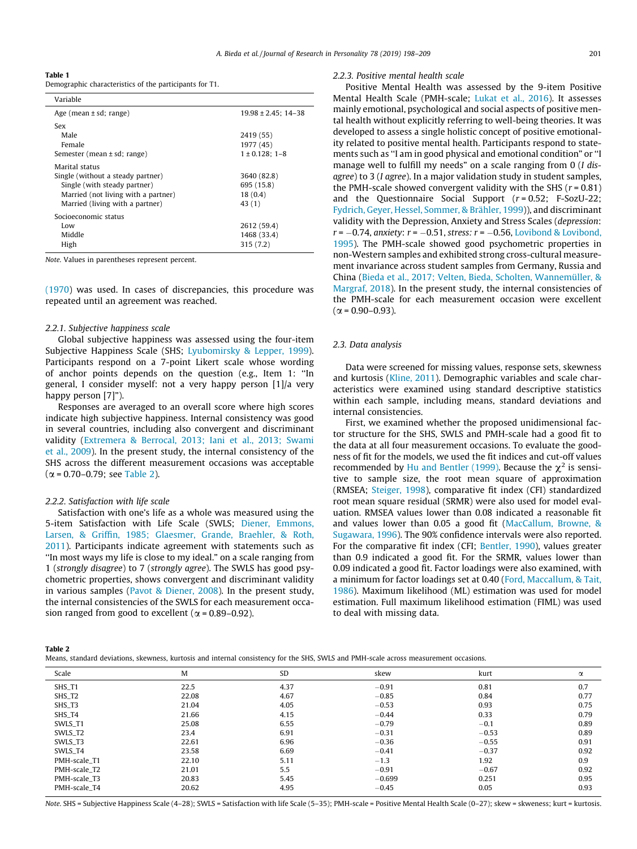<span id="page-3-0"></span>Table 1 Demographic characteristics of the participants for T1.

| Variable                            |                          |
|-------------------------------------|--------------------------|
| Age (mean $\pm$ sd; range)          | $19.98 \pm 2.45$ ; 14-38 |
| Sex                                 |                          |
| Male                                | 2419 (55)                |
| Female                              | 1977 (45)                |
| Semester (mean $\pm$ sd; range)     | $1 \pm 0.128$ : 1-8      |
| Marital status                      |                          |
| Single (without a steady partner)   | 3640 (82.8)              |
| Single (with steady partner)        | 695 (15.8)               |
| Married (not living with a partner) | 18(0.4)                  |
| Married (living with a partner)     | 43(1)                    |
| Socioeconomic status                |                          |
| Low                                 | 2612 (59.4)              |
| Middle                              | 1468 (33.4)              |
| High                                | 315(7.2)                 |

Note. Values in parentheses represent percent.

[\(1970\)](#page-10-0) was used. In cases of discrepancies, this procedure was repeated until an agreement was reached.

#### 2.2.1. Subjective happiness scale

Global subjective happiness was assessed using the four-item Subjective Happiness Scale (SHS; [Lyubomirsky & Lepper, 1999\)](#page-10-0). Participants respond on a 7-point Likert scale whose wording of anchor points depends on the question (e.g., Item 1: ''In general, I consider myself: not a very happy person [1]/a very happy person [7]").

Responses are averaged to an overall score where high scores indicate high subjective happiness. Internal consistency was good in several countries, including also convergent and discriminant validity ([Extremera & Berrocal, 2013; Iani et al., 2013; Swami](#page-10-0) [et al., 2009](#page-10-0)). In the present study, the internal consistency of the SHS across the different measurement occasions was acceptable  $(\alpha = 0.70 - 0.79)$ ; see Table 2).

## 2.2.2. Satisfaction with life scale

Satisfaction with one's life as a whole was measured using the 5-item Satisfaction with Life Scale (SWLS; [Diener, Emmons,](#page-10-0) [Larsen, & Griffin, 1985; Glaesmer, Grande, Braehler, & Roth,](#page-10-0) [2011\)](#page-10-0). Participants indicate agreement with statements such as ''In most ways my life is close to my ideal." on a scale ranging from 1 (strongly disagree) to 7 (strongly agree). The SWLS has good psychometric properties, shows convergent and discriminant validity in various samples [\(Pavot & Diener, 2008](#page-11-0)). In the present study, the internal consistencies of the SWLS for each measurement occasion ranged from good to excellent ( $\alpha$  = 0.89–0.92).

#### 2.2.3. Positive mental health scale

Positive Mental Health was assessed by the 9-item Positive Mental Health Scale (PMH-scale; [Lukat et al., 2016](#page-10-0)). It assesses mainly emotional, psychological and social aspects of positive mental health without explicitly referring to well-being theories. It was developed to assess a single holistic concept of positive emotionality related to positive mental health. Participants respond to statements such as ''I am in good physical and emotional condition" or ''I manage well to fulfill my needs" on a scale ranging from 0 (*I dis*agree) to 3 (I agree). In a major validation study in student samples, the PMH-scale showed convergent validity with the SHS ( $r = 0.81$ ) and the Questionnaire Social Support  $(r = 0.52; F-SozU-22;$ [Fydrich, Geyer, Hessel, Sommer, & Brähler, 1999](#page-10-0))), and discriminant validity with the Depression, Anxiety and Stress Scales (depression:  $r = -0.74$ , anxiety:  $r = -0.51$ , stress:  $r = -0.56$ , [Lovibond & Lovibond,](#page-10-0) [1995\)](#page-10-0). The PMH-scale showed good psychometric properties in non-Western samples and exhibited strong cross-cultural measurement invariance across student samples from Germany, Russia and China ([Bieda et al., 2017; Velten, Bieda, Scholten, Wannemüller, &](#page-9-0) [Margraf, 2018](#page-9-0)). In the present study, the internal consistencies of the PMH-scale for each measurement occasion were excellent  $(\alpha = 0.90 - 0.93)$ .

## 2.3. Data analysis

Data were screened for missing values, response sets, skewness and kurtosis [\(Kline, 2011](#page-10-0)). Demographic variables and scale characteristics were examined using standard descriptive statistics within each sample, including means, standard deviations and internal consistencies.

First, we examined whether the proposed unidimensional factor structure for the SHS, SWLS and PMH-scale had a good fit to the data at all four measurement occasions. To evaluate the goodness of fit for the models, we used the fit indices and cut-off values recommended by [Hu and Bentler \(1999\)](#page-10-0). Because the  $\chi^2$  is sensitive to sample size, the root mean square of approximation (RMSEA; [Steiger, 1998](#page-11-0)), comparative fit index (CFI) standardized root mean square residual (SRMR) were also used for model evaluation. RMSEA values lower than 0.08 indicated a reasonable fit and values lower than 0.05 a good fit ([MacCallum, Browne, &](#page-10-0) [Sugawara, 1996](#page-10-0)). The 90% confidence intervals were also reported. For the comparative fit index (CFI; [Bentler, 1990](#page-9-0)), values greater than 0.9 indicated a good fit. For the SRMR, values lower than 0.09 indicated a good fit. Factor loadings were also examined, with a minimum for factor loadings set at 0.40 [\(Ford, Maccallum, & Tait,](#page-10-0) [1986\)](#page-10-0). Maximum likelihood (ML) estimation was used for model estimation. Full maximum likelihood estimation (FIML) was used to deal with missing data.

|--|--|

|  |  |  | Means, standard deviations, skewness, kurtosis and internal consistency for the SHS, SWLS and PMH-scale across measurement occasions, |  |  |  |  |  |  |
|--|--|--|---------------------------------------------------------------------------------------------------------------------------------------|--|--|--|--|--|--|
|  |  |  |                                                                                                                                       |  |  |  |  |  |  |

| Scale        | M     | SD   | skew     | kurt    | $\alpha$ |
|--------------|-------|------|----------|---------|----------|
| SHS_T1       | 22.5  | 4.37 | $-0.91$  | 0.81    | 0.7      |
| SHS_T2       | 22.08 | 4.67 | $-0.85$  | 0.84    | 0.77     |
| SHS_T3       | 21.04 | 4.05 | $-0.53$  | 0.93    | 0.75     |
| SHS_T4       | 21.66 | 4.15 | $-0.44$  | 0.33    | 0.79     |
| SWLS_T1      | 25.08 | 6.55 | $-0.79$  | $-0.1$  | 0.89     |
| SWLS_T2      | 23.4  | 6.91 | $-0.31$  | $-0.53$ | 0.89     |
| SWLS_T3      | 22.61 | 6.96 | $-0.36$  | $-0.55$ | 0.91     |
| SWLS_T4      | 23.58 | 6.69 | $-0.41$  | $-0.37$ | 0.92     |
| PMH-scale T1 | 22.10 | 5.11 | $-1.3$   | 1.92    | 0.9      |
| PMH-scale_T2 | 21.01 | 5.5  | $-0.91$  | $-0.67$ | 0.92     |
| PMH-scale T3 | 20.83 | 5.45 | $-0.699$ | 0.251   | 0.95     |
| PMH-scale_T4 | 20.62 | 4.95 | $-0.45$  | 0.05    | 0.93     |

Note. SHS = Subjective Happiness Scale (4–28); SWLS = Satisfaction with life Scale (5–35); PMH-scale = Positive Mental Health Scale (0–27); skew = skweness; kurt = kurtosis.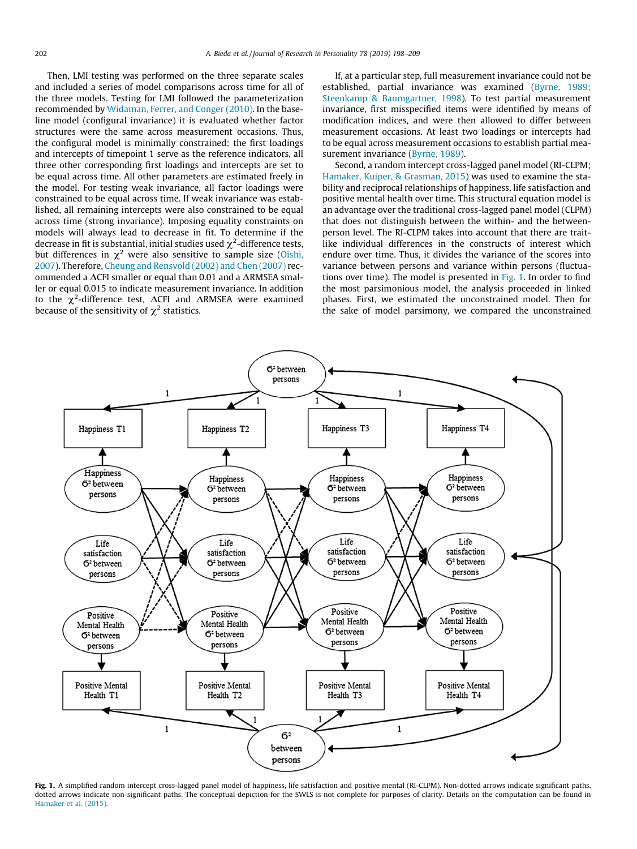<span id="page-4-0"></span>Then, LMI testing was performed on the three separate scales and included a series of model comparisons across time for all of the three models. Testing for LMI followed the parameterization recommended by [Widaman, Ferrer, and Conger \(2010\)](#page-11-0). In the baseline model (configural invariance) it is evaluated whether factor structures were the same across measurement occasions. Thus, the configural model is minimally constrained: the first loadings and intercepts of timepoint 1 serve as the reference indicators, all three other corresponding first loadings and intercepts are set to be equal across time. All other parameters are estimated freely in the model. For testing weak invariance, all factor loadings were constrained to be equal across time. If weak invariance was established, all remaining intercepts were also constrained to be equal across time (strong invariance). Imposing equality constraints on models will always lead to decrease in fit. To determine if the decrease in fit is substantial, initial studies used  $\chi^2$ -difference tests,<br>but differences in  $\chi^2$  were also sensitive to sample size (Oishi, but differences in  $\chi^2$  were also sensitive to sample size [\(Oishi,](#page-11-0) [2007\)](#page-11-0). Therefore, [Cheung and Rensvold \(2002\) and Chen \(2007\)](#page-10-0) recommended a DCFI smaller or equal than 0.01 and a DRMSEA smal-ler or equal 0.015 to indicate measurement invariance. In addition to the  $\chi^2$ -difference test,  $\Delta$ CFI and  $\Delta$ RMSEA were examined because of the sensitivity of  $\chi^2$  statistics. because of the sensitivity of  $\chi^2$  statistics.

If, at a particular step, full measurement invariance could not be established, partial invariance was examined [\(Byrne, 1989;](#page-10-0) [Steenkamp & Baumgartner, 1998\)](#page-10-0). To test partial measurement invariance, first misspecified items were identified by means of modification indices, and were then allowed to differ between measurement occasions. At least two loadings or intercepts had to be equal across measurement occasions to establish partial measurement invariance [\(Byrne, 1989\)](#page-10-0).

Second, a random intercept cross-lagged panel model (RI-CLPM; [Hamaker, Kuiper, & Grasman, 2015](#page-10-0)) was used to examine the stability and reciprocal relationships of happiness, life satisfaction and positive mental health over time. This structural equation model is an advantage over the traditional cross-lagged panel model (CLPM) that does not distinguish between the within- and the betweenperson level. The RI-CLPM takes into account that there are traitlike individual differences in the constructs of interest which endure over time. Thus, it divides the variance of the scores into variance between persons and variance within persons (fluctuations over time). The model is presented in  $Fig. 1$ . In order to find the most parsimonious model, the analysis proceeded in linked phases. First, we estimated the unconstrained model. Then for the sake of model parsimony, we compared the unconstrained



Fig. 1. A simplified random intercept cross-lagged panel model of happiness, life satisfaction and positive mental (RI-CLPM). Non-dotted arrows indicate significant paths, dotted arrows indicate non-significant paths. The conceptual depiction for the SWLS is not complete for purposes of clarity. Details on the computation can be found in [Hamaker et al. \(2015\)](#page-10-0).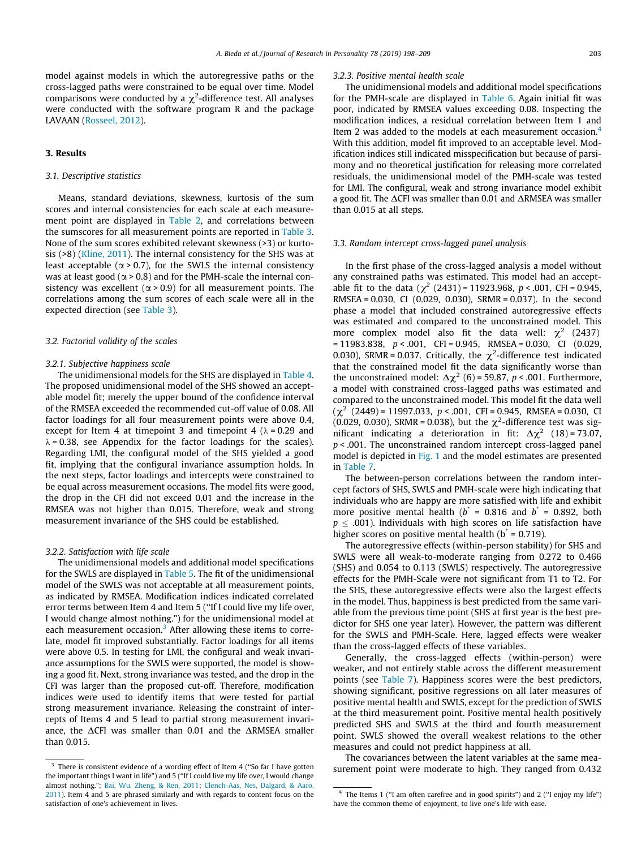model against models in which the autoregressive paths or the cross-lagged paths were constrained to be equal over time. Model comparisons were conducted by a  $\chi^2$ -difference test. All analyses<br>were conducted with the software program R and the package were conducted with the software program R and the package LAVAAN ([Rosseel, 2012](#page-11-0)).

## 3. Results

## 3.1. Descriptive statistics

Means, standard deviations, skewness, kurtosis of the sum scores and internal consistencies for each scale at each measurement point are displayed in [Table 2,](#page-3-0) and correlations between the sumscores for all measurement points are reported in [Table 3.](#page-6-0) None of the sum scores exhibited relevant skewness (>3) or kurtosis (>8) [\(Kline, 2011](#page-10-0)). The internal consistency for the SHS was at least acceptable ( $\alpha$  > 0.7), for the SWLS the internal consistency was at least good ( $\alpha$  > 0.8) and for the PMH-scale the internal consistency was excellent ( $\alpha$  > 0.9) for all measurement points. The correlations among the sum scores of each scale were all in the expected direction (see [Table 3](#page-6-0)).

## 3.2. Factorial validity of the scales

#### 3.2.1. Subjective happiness scale

The unidimensional models for the SHS are displayed in [Table 4.](#page-6-0) The proposed unidimensional model of the SHS showed an acceptable model fit; merely the upper bound of the confidence interval of the RMSEA exceeded the recommended cut-off value of 0.08. All factor loadings for all four measurement points were above 0.4, except for Item 4 at timepoint 3 and timepoint 4 ( $\lambda$  = 0.29 and  $\lambda$  = 0.38, see Appendix for the factor loadings for the scales). Regarding LMI, the configural model of the SHS yielded a good fit, implying that the configural invariance assumption holds. In the next steps, factor loadings and intercepts were constrained to be equal across measurement occasions. The model fits were good, the drop in the CFI did not exceed 0.01 and the increase in the RMSEA was not higher than 0.015. Therefore, weak and strong measurement invariance of the SHS could be established.

## 3.2.2. Satisfaction with life scale

The unidimensional models and additional model specifications for the SWLS are displayed in [Table 5](#page-6-0). The fit of the unidimensional model of the SWLS was not acceptable at all measurement points, as indicated by RMSEA. Modification indices indicated correlated error terms between Item 4 and Item 5 (''If I could live my life over, I would change almost nothing.") for the unidimensional model at each measurement occasion. $3$  After allowing these items to correlate, model fit improved substantially. Factor loadings for all items were above 0.5. In testing for LMI, the configural and weak invariance assumptions for the SWLS were supported, the model is showing a good fit. Next, strong invariance was tested, and the drop in the CFI was larger than the proposed cut-off. Therefore, modification indices were used to identify items that were tested for partial strong measurement invariance. Releasing the constraint of intercepts of Items 4 and 5 lead to partial strong measurement invariance, the  $\Delta$ CFI was smaller than 0.01 and the  $\Delta$ RMSEA smaller than 0.015.

#### 3.2.3. Positive mental health scale

The unidimensional models and additional model specifications for the PMH-scale are displayed in [Table 6.](#page-7-0) Again initial fit was poor, indicated by RMSEA values exceeding 0.08. Inspecting the modification indices, a residual correlation between Item 1 and Item 2 was added to the models at each measurement occasion.<sup>4</sup> With this addition, model fit improved to an acceptable level. Modification indices still indicated misspecification but because of parsimony and no theoretical justification for releasing more correlated residuals, the unidimensional model of the PMH-scale was tested for LMI. The configural, weak and strong invariance model exhibit a good fit. The  $\Delta$ CFI was smaller than 0.01 and  $\Delta$ RMSEA was smaller than 0.015 at all steps.

## 3.3. Random intercept cross-lagged panel analysis

In the first phase of the cross-lagged analysis a model without any constrained paths was estimated. This model had an acceptable fit to the data ( $\chi^2$  (2431) = 11923.968, p < .001, CFI = 0.945, RMSEA = 0.030, CI (0.029, 0.030), SRMR = 0.037). In the second phase a model that included constrained autoregressive effects was estimated and compared to the unconstrained model. This more complex model also fit the data well:  $\chi^2$  (2437)  $= 11983.838$ ,  $p < .001$ , CFI = 0.945, RMSEA = 0.030, CI (0.029) 0.030), SRMR = 0.037. Critically, the  $\chi^2$ -difference test indicated that the constrained model fit the data significantly worse than that the constrained model fit the data significantly worse than the unconstrained model:  $\Delta \chi^2$  (6) = 59.87, p < .001. Furthermore, a model with constrained cross-lagged paths was estimated and compared to the unconstrained model. This model fit the data well  $(\chi^2 \ (2449) = 11997.033, \ p < .001, \ CFI = 0.945, \ RMSEA = 0.030, \ CI$ (0.029, 0.030), SRMR = 0.038), but the  $\chi^2$ -difference test was sig-<br>nificant indicating a deterioration in fit:  $\Delta \chi^2$  (18) = 73.07. nificant indicating a deterioration in fit:  $\Delta \chi^2$  (18) = 73.07,  $p$  < .001. The unconstrained random intercept cross-lagged panel model is depicted in [Fig. 1](#page-4-0) and the model estimates are presented in [Table 7](#page-7-0).

The between-person correlations between the random intercept factors of SHS, SWLS and PMH-scale were high indicating that individuals who are happy are more satisfied with life and exhibit more positive mental health ( $b^* = 0.816$  and  $b^* = 0.892$ , both  $p \leq .001$ ). Individuals with high scores on life satisfaction have higher scores on positive mental health ( $b^* = 0.719$ ).

The autoregressive effects (within-person stability) for SHS and SWLS were all weak-to-moderate ranging from 0.272 to 0.466 (SHS) and 0.054 to 0.113 (SWLS) respectively. The autoregressive effects for the PMH-Scale were not significant from T1 to T2. For the SHS, these autoregressive effects were also the largest effects in the model. Thus, happiness is best predicted from the same variable from the previous time point (SHS at first year is the best predictor for SHS one year later). However, the pattern was different for the SWLS and PMH-Scale. Here, lagged effects were weaker than the cross-lagged effects of these variables.

Generally, the cross-lagged effects (within-person) were weaker, and not entirely stable across the different measurement points (see [Table 7](#page-7-0)). Happiness scores were the best predictors, showing significant, positive regressions on all later measures of positive mental health and SWLS, except for the prediction of SWLS at the third measurement point. Positive mental health positively predicted SHS and SWLS at the third and fourth measurement point. SWLS showed the overall weakest relations to the other measures and could not predict happiness at all.

The covariances between the latent variables at the same mea-<sup>3</sup> There is consistent evidence of a wording effect of Item 4 ("So far I have gotten surement point were moderate to high. They ranged from 0.432

the important things I want in life") and 5 (''If I could live my life over, I would change almost nothing."; [Bai, Wu, Zheng, & Ren, 2011](#page-9-0); [Clench-Aas, Nes, Dalgard, & Aaro,](#page-10-0) [2011](#page-10-0)). Item 4 and 5 are phrased similarly and with regards to content focus on the satisfaction of one's achievement in lives.

<sup>4</sup> The Items 1 (''I am often carefree and in good spirits") and 2 (''I enjoy my life") have the common theme of enjoyment, to live one's life with ease.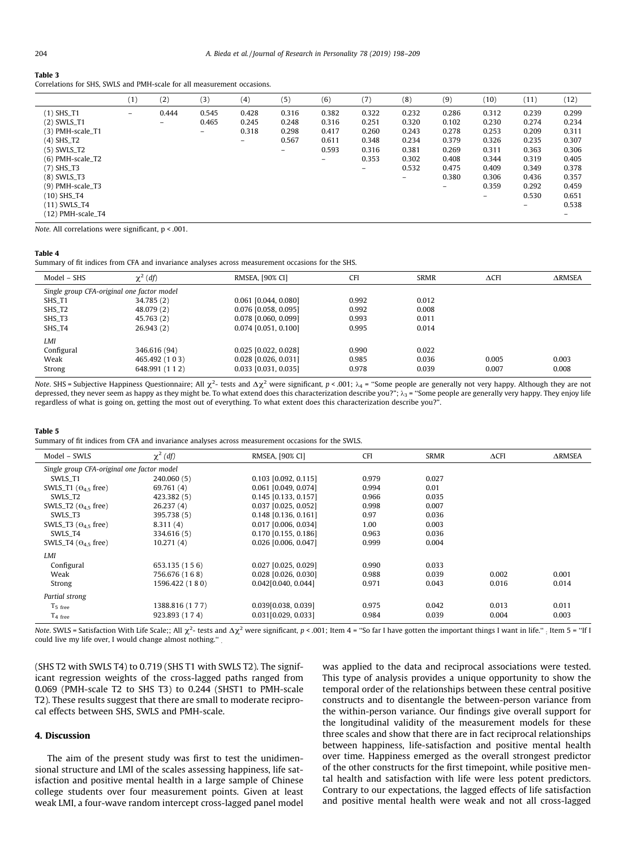#### <span id="page-6-0"></span>Table 3

Correlations for SHS, SWLS and PMH-scale for all measurement occasions.

|                    | (1)                      | (2)                      | (3)   | (4)   | (5)                      | (6)                      | (7)                      | (8)   | (9)   | (10)                     | (11)  | (12)  |
|--------------------|--------------------------|--------------------------|-------|-------|--------------------------|--------------------------|--------------------------|-------|-------|--------------------------|-------|-------|
| (1) SHS_T1         | $\overline{\phantom{0}}$ | 0.444                    | 0.545 | 0.428 | 0.316                    | 0.382                    | 0.322                    | 0.232 | 0.286 | 0.312                    | 0.239 | 0.299 |
| $(2)$ SWLS_T1      |                          | $\overline{\phantom{0}}$ | 0.465 | 0.245 | 0.248                    | 0.316                    | 0.251                    | 0.320 | 0.102 | 0.230                    | 0.274 | 0.234 |
| (3) PMH-scale_T1   |                          |                          | -     | 0.318 | 0.298                    | 0.417                    | 0.260                    | 0.243 | 0.278 | 0.253                    | 0.209 | 0.311 |
| $(4)$ SHS_T2       |                          |                          |       | -     | 0.567                    | 0.611                    | 0.348                    | 0.234 | 0.379 | 0.326                    | 0.235 | 0.307 |
| $(5)$ SWLS_T2      |                          |                          |       |       | $\overline{\phantom{0}}$ | 0.593                    | 0.316                    | 0.381 | 0.269 | 0.311                    | 0.363 | 0.306 |
| $(6)$ PMH-scale_T2 |                          |                          |       |       |                          | $\overline{\phantom{0}}$ | 0.353                    | 0.302 | 0.408 | 0.344                    | 0.319 | 0.405 |
| $(7)$ SHS_T3       |                          |                          |       |       |                          |                          | $\overline{\phantom{0}}$ | 0.532 | 0.475 | 0.409                    | 0.349 | 0.378 |
| $(8)$ SWLS_T3      |                          |                          |       |       |                          |                          |                          | $-$   | 0.380 | 0.306                    | 0.436 | 0.357 |
| $(9)$ PMH-scale_T3 |                          |                          |       |       |                          |                          |                          |       | -     | 0.359                    | 0.292 | 0.459 |
| (10) SHS_T4        |                          |                          |       |       |                          |                          |                          |       |       | $\overline{\phantom{0}}$ | 0.530 | 0.651 |
| (11) SWLS_T4       |                          |                          |       |       |                          |                          |                          |       |       |                          | $-$   | 0.538 |
| (12) PMH-scale_T4  |                          |                          |       |       |                          |                          |                          |       |       |                          |       | -     |

Note. All correlations were significant, p < .001.

## Table 4

Summary of fit indices from CFA and invariance analyses across measurement occasions for the SHS.

| Model - SHS                                | $\chi^2$ (df) | RMSEA, [90% CI]        | <b>CFI</b> | <b>SRMR</b> | $\Delta$ CFI | <b>ARMSEA</b> |  |  |  |
|--------------------------------------------|---------------|------------------------|------------|-------------|--------------|---------------|--|--|--|
| Single group CFA-original one factor model |               |                        |            |             |              |               |  |  |  |
| SHS_T1                                     | 34.785 (2)    | $0.061$ [0.044, 0.080] | 0.992      | 0.012       |              |               |  |  |  |
| SHS_T2                                     | 48.079 (2)    | 0.076 [0.058, 0.095]   | 0.992      | 0.008       |              |               |  |  |  |
| SHS_T3                                     | 45.763 (2)    | $0.078$ [0.060, 0.099] | 0.993      | 0.011       |              |               |  |  |  |
| SHS_T4                                     | 26.943(2)     | $0.074$ [0.051, 0.100] | 0.995      | 0.014       |              |               |  |  |  |
| LMI                                        |               |                        |            |             |              |               |  |  |  |
| Configural                                 | 346.616 (94)  | $0.025$ [0.022, 0.028] | 0.990      | 0.022       |              |               |  |  |  |
| Weak                                       | 465.492 (103) | $0.028$ [0.026, 0.031] | 0.985      | 0.036       | 0.005        | 0.003         |  |  |  |
| Strong                                     | 648.991 (112) | $0.033$ [0.031, 0.035] | 0.978      | 0.039       | 0.007        | 0.008         |  |  |  |

Note. SHS = Subjective Happiness Questionnaire; All  $\chi^2$ - tests and  $\Delta \chi^2$  were significant, p < .001;  $\lambda_4$  = "Some people are generally not very happy. Although they are not depressed, they never seem as happy as t depressed, they never seem as happy as they might be. To what extend does this characterization describe you?";  $\lambda_3$  = "Some people are generally very happy. They enjoy life regardless of what is going on, getting the most out of everything. To what extent does this characterization describe you?".

#### Table 5

Summary of fit indices from CFA and invariance analyses across measurement occasions for the SWLS.

| Model - SWLS                               | $\chi^2$ (df)  | RMSEA, [90% CI]        | <b>CFI</b> | <b>SRMR</b> | $\Delta$ CFI | $\triangle$ RMSEA |  |  |
|--------------------------------------------|----------------|------------------------|------------|-------------|--------------|-------------------|--|--|
| Single group CFA-original one factor model |                |                        |            |             |              |                   |  |  |
| SWLS_T1                                    | 240,060 (5)    | $0.103$ [0.092, 0.115] | 0.979      | 0.027       |              |                   |  |  |
| SWLS_T1 ( $\Theta$ <sub>45</sub> free)     | 69.761 (4)     | $0.061$ [0.049, 0.074] | 0.994      | 0.01        |              |                   |  |  |
| SWLS T <sub>2</sub>                        | 423.382 (5)    | $0.145$ [0.133, 0.157] | 0.966      | 0.035       |              |                   |  |  |
| SWLS_T2 ( $\Theta_{4.5}$ free)             | 26.237(4)      | $0.037$ [0.025, 0.052] | 0.998      | 0.007       |              |                   |  |  |
| SWLS_T3                                    | 395,738 (5)    | $0.148$ [0.136, 0.161] | 0.97       | 0.036       |              |                   |  |  |
| SWLS_T3 ( $\Theta_{4.5}$ free)             | 8.311(4)       | 0.017 [0.006, 0.034]   | 1.00       | 0.003       |              |                   |  |  |
| SWLS T4                                    | 334.616 (5)    | $0.170$ [0.155, 0.186] | 0.963      | 0.036       |              |                   |  |  |
| SWLS_T4 ( $\Theta$ <sub>45</sub> free)     | 10.271(4)      | 0.026 [0.006, 0.047]   | 0.999      | 0.004       |              |                   |  |  |
| LMI                                        |                |                        |            |             |              |                   |  |  |
| Configural                                 | 653,135 (156)  | $0.027$ [0.025, 0.029] | 0.990      | 0.033       |              |                   |  |  |
| Weak                                       | 756.676 (168)  | $0.028$ [0.026, 0.030] | 0.988      | 0.039       | 0.002        | 0.001             |  |  |
| Strong                                     | 1596.422 (180) | 0.042[0.040, 0.044]    | 0.971      | 0.043       | 0.016        | 0.014             |  |  |
| Partial strong                             |                |                        |            |             |              |                   |  |  |
| $T5$ free                                  | 1388.816 (177) | 0.039[0.038, 0.039]    | 0.975      | 0.042       | 0.013        | 0.011             |  |  |
| $T_4$ free                                 | 923.893 (174)  | 0.031[0.029, 0.033]    | 0.984      | 0.039       | 0.004        | 0.003             |  |  |

Note. SWLS = Satisfaction With Life Scale;; All  $\chi^2$ - tests and  $\Delta \chi^2$  were significant, p < .001; Item 4 = "So far I have gotten the important things I want in life." ; Item 5 = "If l<br>could live my life over, I would could live my life over, I would change almost nothing.'' .

(SHS T2 with SWLS T4) to 0.719 (SHS T1 with SWLS T2). The significant regression weights of the cross-lagged paths ranged from 0.069 (PMH-scale T2 to SHS T3) to 0.244 (SHST1 to PMH-scale T2). These results suggest that there are small to moderate reciprocal effects between SHS, SWLS and PMH-scale.

## 4. Discussion

The aim of the present study was first to test the unidimensional structure and LMI of the scales assessing happiness, life satisfaction and positive mental health in a large sample of Chinese college students over four measurement points. Given at least weak LMI, a four-wave random intercept cross-lagged panel model was applied to the data and reciprocal associations were tested. This type of analysis provides a unique opportunity to show the temporal order of the relationships between these central positive constructs and to disentangle the between-person variance from the within-person variance. Our findings give overall support for the longitudinal validity of the measurement models for these three scales and show that there are in fact reciprocal relationships between happiness, life-satisfaction and positive mental health over time. Happiness emerged as the overall strongest predictor of the other constructs for the first timepoint, while positive mental health and satisfaction with life were less potent predictors. Contrary to our expectations, the lagged effects of life satisfaction and positive mental health were weak and not all cross-lagged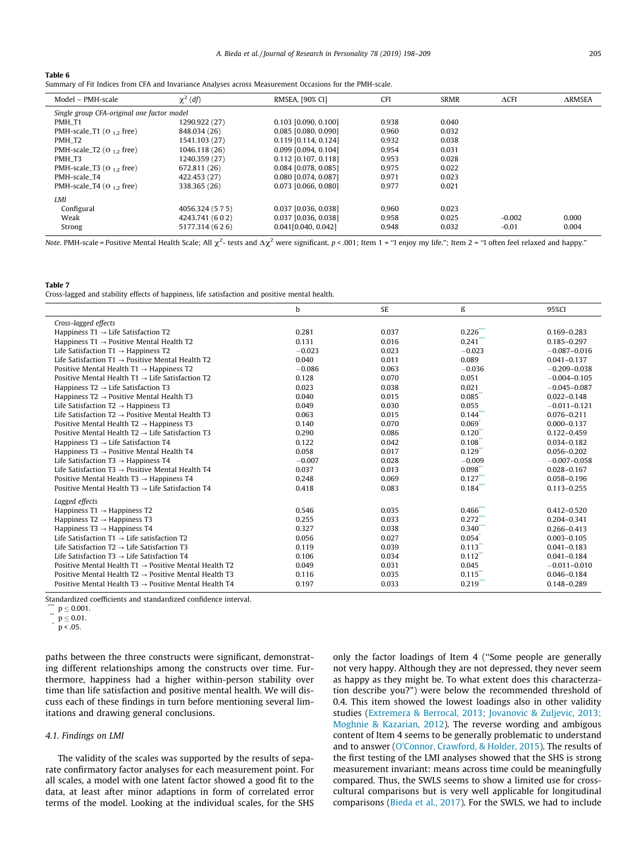#### <span id="page-7-0"></span>Table 6

Summary of Fit Indices from CFA and Invariance Analyses across Measurement Occasions for the PMH-scale.

| Model - PMH-scale                           | $\chi^2$ (df)                              | RMSEA, [90% CI]        | <b>CFI</b> | <b>SRMR</b> | $\triangle$ CFI | <b>ARMSEA</b> |  |  |
|---------------------------------------------|--------------------------------------------|------------------------|------------|-------------|-----------------|---------------|--|--|
|                                             | Single group CFA-original one factor model |                        |            |             |                 |               |  |  |
| PMH T1                                      | 1290.922 (27)                              | $0.103$ [0.090, 0.100] | 0.938      | 0.040       |                 |               |  |  |
| PMH-scale_T1 ( $\Theta$ <sub>12</sub> free) | 848.034 (26)                               | $0.085$ [0.080, 0.090] | 0.960      | 0.032       |                 |               |  |  |
| PMH T2                                      | 1541.103 (27)                              | $0.119$ [0.114, 0.124] | 0.932      | 0.038       |                 |               |  |  |
| PMH-scale_T2 ( $\Theta$ <sub>12</sub> free) | 1046.118 (26)                              | 0.099 [0.094, 0.104]   | 0.954      | 0.031       |                 |               |  |  |
| PMH T3                                      | 1240.359 (27)                              | $0.112$ [0.107, 0.118] | 0.953      | 0.028       |                 |               |  |  |
| PMH-scale_T3 ( $\Theta$ 1.2 free)           | 672.811 (26)                               | 0.084 [0.078, 0.085]   | 0.975      | 0.022       |                 |               |  |  |
| PMH-scale T4                                | 422,453 (27)                               | 0.080 [0.074, 0.087]   | 0.971      | 0.023       |                 |               |  |  |
| PMH-scale_T4 ( $\Theta$ <sub>12</sub> free) | 338.365 (26)                               | 0.073 [0.066, 0.080]   | 0.977      | 0.021       |                 |               |  |  |
| LMI                                         |                                            |                        |            |             |                 |               |  |  |
| Configural                                  | 4056.324 (5 7 5)                           | $0.037$ [0.036, 0.038] | 0.960      | 0.023       |                 |               |  |  |
| Weak                                        | 4243.741 (602)                             | 0.037 [0.036, 0.038]   | 0.958      | 0.025       | $-0.002$        | 0.000         |  |  |
| Strong                                      | 5177.314 (626)                             | 0.041[0.040, 0.042]    | 0.948      | 0.032       | $-0.01$         | 0.004         |  |  |

Note. PMH-scale = Positive Mental Health Scale; All  $\chi^2$ - tests and  $\Delta \chi^2$  were significant, p < .001; Item 1 = "I enjoy my life."; Item 2 = "I often feel relaxed and happy."

#### Table 7

÷,

Cross-lagged and stability effects of happiness, life satisfaction and positive mental health.

|                                                                   | b        | <b>SE</b> | ß        | 95%CI            |
|-------------------------------------------------------------------|----------|-----------|----------|------------------|
| Cross-lagged effects                                              |          |           |          |                  |
| Happiness $T1 \rightarrow$ Life Satisfaction T2                   | 0.281    | 0.037     | 0.226    | $0.169 - 0.283$  |
| Happiness $T1 \rightarrow$ Positive Mental Health T2              | 0.131    | 0.016     | 0.241    | $0.185 - 0.297$  |
| Life Satisfaction T1 $\rightarrow$ Happiness T2                   | $-0.023$ | 0.023     | $-0.023$ | $-0.087 - 0.016$ |
| Life Satisfaction $T1 \rightarrow$ Positive Mental Health T2      | 0.040    | 0.011     | 0.089    | $0.041 - 0.137$  |
| Positive Mental Health T1 $\rightarrow$ Happiness T2              | $-0.086$ | 0.063     | $-0.036$ | $-0.209 - 0.038$ |
| Positive Mental Health $T1 \rightarrow$ Life Satisfaction T2      | 0.128    | 0.070     | 0.051    | $-0.004 - 0.105$ |
| Happiness $T2 \rightarrow$ Life Satisfaction T3                   | 0.023    | 0.038     | 0.021    | $-0.045 - 0.087$ |
| Happiness $T2 \rightarrow$ Positive Mental Health T3              | 0.040    | 0.015     | 0.085    | $0.022 - 0.148$  |
| Life Satisfaction $T2 \rightarrow$ Happiness T3                   | 0.049    | 0.030     | 0.055    | $-0.011 - 0.121$ |
| Life Satisfaction $T2 \rightarrow$ Positive Mental Health T3      | 0.063    | 0.015     | 0.144    | $0.076 - 0.211$  |
| Positive Mental Health T2 $\rightarrow$ Happiness T3              | 0.140    | 0.070     | 0.069    | $0.000 - 0.137$  |
| Positive Mental Health $T2 \rightarrow$ Life Satisfaction T3      | 0.290    | 0.086     | 0.120    | $0.122 - 0.459$  |
| Happiness T3 $\rightarrow$ Life Satisfaction T4                   | 0.122    | 0.042     | 0.108    | $0.034 - 0.182$  |
| Happiness $T3 \rightarrow$ Positive Mental Health T4              | 0.058    | 0.017     | 0.129    | $0.056 - 0.202$  |
| Life Satisfaction $T3 \rightarrow$ Happiness T4                   | $-0.007$ | 0.028     | $-0.009$ | $-0.007 - 0.058$ |
| Life Satisfaction $T3 \rightarrow$ Positive Mental Health T4      | 0.037    | 0.013     | 0.098    | $0.028 - 0.167$  |
| Positive Mental Health T3 $\rightarrow$ Happiness T4              | 0.248    | 0.069     | 0.127    | $0.058 - 0.196$  |
| Positive Mental Health $T3 \rightarrow$ Life Satisfaction T4      | 0.418    | 0.083     | 0.184    | $0.113 - 0.255$  |
| Lagged effects                                                    |          |           |          |                  |
| Happiness $T1 \rightarrow$ Happiness T2                           | 0.546    | 0.035     | 0.466    | $0.412 - 0.520$  |
| Happiness $T2 \rightarrow$ Happiness T3                           | 0.255    | 0.033     | 0.272    | $0.204 - 0.341$  |
| Happiness T3 $\rightarrow$ Happiness T4                           | 0.327    | 0.038     | 0.340    | $0.266 - 0.413$  |
| Life Satisfaction $T1 \rightarrow$ Life satisfaction T2           | 0.056    | 0.027     | 0.054    | $0.003 - 0.105$  |
| Life Satisfaction $T2 \rightarrow$ Life Satisfaction T3           | 0.119    | 0.039     | 0.113    | $0.041 - 0.183$  |
| Life Satisfaction $T3 \rightarrow$ Life Satisfaction T4           | 0.106    | 0.034     | 0.112    | $0.041 - 0.184$  |
| Positive Mental Health $T1 \rightarrow$ Positive Mental Health T2 | 0.049    | 0.031     | 0.045    | $-0.011 - 0.010$ |
| Positive Mental Health $T2 \rightarrow$ Positive Mental Health T3 | 0.116    | 0.035     | 0.115    | $0.046 - 0.184$  |
| Positive Mental Health $T3 \rightarrow$ Positive Mental Health T4 | 0.197    | 0.033     | 0.219    | 0.148-0.289      |

Standardized coefficients and standardized confidence interval.

paths between the three constructs were significant, demonstrating different relationships among the constructs over time. Furthermore, happiness had a higher within-person stability over time than life satisfaction and positive mental health. We will discuss each of these findings in turn before mentioning several limitations and drawing general conclusions.

#### 4.1. Findings on LMI

The validity of the scales was supported by the results of separate confirmatory factor analyses for each measurement point. For all scales, a model with one latent factor showed a good fit to the data, at least after minor adaptions in form of correlated error terms of the model. Looking at the individual scales, for the SHS only the factor loadings of Item 4 (''Some people are generally not very happy. Although they are not depressed, they never seem as happy as they might be. To what extent does this characterzation describe you?") were below the recommended threshold of 0.4. This item showed the lowest loadings also in other validity studies ([Extremera & Berrocal, 2013; Jovanovic & Zuljevic, 2013;](#page-10-0) [Moghnie & Kazarian, 2012](#page-10-0)). The reverse wording and ambigous content of Item 4 seems to be generally problematic to understand and to answer [\(O'Connor, Crawford, & Holder, 2015\)](#page-11-0). The results of the first testing of the LMI analyses showed that the SHS is strong measurement invariant: means across time could be meaningfully compared. Thus, the SWLS seems to show a limited use for crosscultural comparisons but is very well applicable for longitudinal comparisons [\(Bieda et al., 2017\)](#page-9-0). For the SWLS, we had to include

 $\begin{array}{c} \text{...} \\ \text{...} \\ \text{...} \\ \text{...} \\ \text{...} \\ \text{...} \\ \text{...} \\ \text{...} \\ \text{...} \\ \text{...} \\ \text{...} \\ \text{...} \\ \text{...} \\ \text{...} \\ \text{...} \\ \text{...} \\ \text{...} \\ \text{...} \\ \text{...} \\ \text{...} \\ \text{...} \\ \text{...} \\ \text{...} \\ \text{...} \\ \text{...} \\ \text{...} \\ \text{...} \\ \text{...} \\ \text{...} \\ \text{...} \\ \text{...} \\ \text{...} \\ \text{...} \\ \text{...} \\ \text{...} \\ \text{$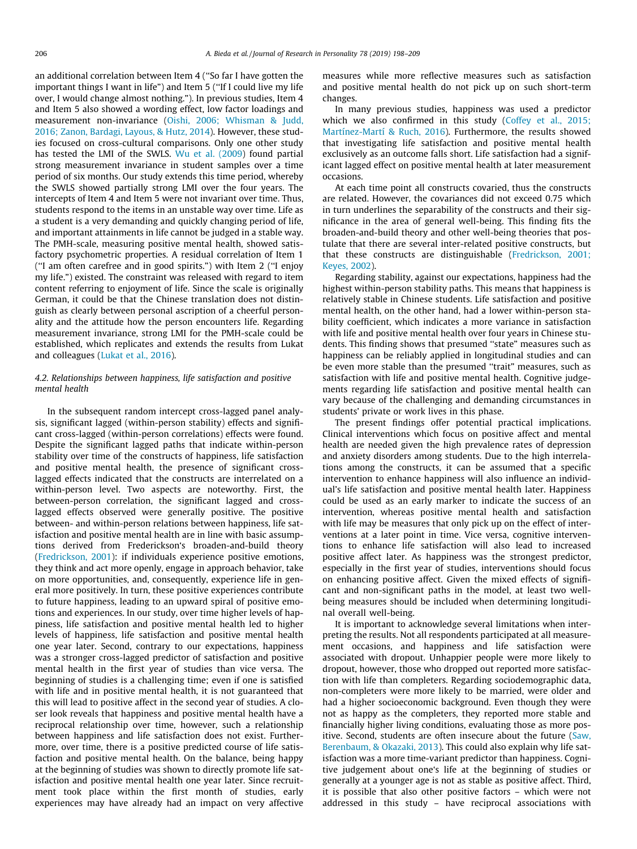an additional correlation between Item 4 (''So far I have gotten the important things I want in life") and Item 5 (''If I could live my life over, I would change almost nothing."). In previous studies, Item 4 and Item 5 also showed a wording effect, low factor loadings and measurement non-invariance [\(Oishi, 2006; Whisman & Judd,](#page-11-0) [2016; Zanon, Bardagi, Layous, & Hutz, 2014](#page-11-0)). However, these studies focused on cross-cultural comparisons. Only one other study has tested the LMI of the SWLS. [Wu et al. \(2009\)](#page-11-0) found partial strong measurement invariance in student samples over a time period of six months. Our study extends this time period, whereby the SWLS showed partially strong LMI over the four years. The intercepts of Item 4 and Item 5 were not invariant over time. Thus, students respond to the items in an unstable way over time. Life as a student is a very demanding and quickly changing period of life, and important attainments in life cannot be judged in a stable way. The PMH-scale, measuring positive mental health, showed satisfactory psychometric properties. A residual correlation of Item 1 (''I am often carefree and in good spirits.") with Item 2 (''I enjoy my life.") existed. The constraint was released with regard to item content referring to enjoyment of life. Since the scale is originally German, it could be that the Chinese translation does not distinguish as clearly between personal ascription of a cheerful personality and the attitude how the person encounters life. Regarding measurement invariance, strong LMI for the PMH-scale could be established, which replicates and extends the results from Lukat and colleagues [\(Lukat et al., 2016\)](#page-10-0).

## 4.2. Relationships between happiness, life satisfaction and positive mental health

In the subsequent random intercept cross-lagged panel analysis, significant lagged (within-person stability) effects and significant cross-lagged (within-person correlations) effects were found. Despite the significant lagged paths that indicate within-person stability over time of the constructs of happiness, life satisfaction and positive mental health, the presence of significant crosslagged effects indicated that the constructs are interrelated on a within-person level. Two aspects are noteworthy. First, the between-person correlation, the significant lagged and crosslagged effects observed were generally positive. The positive between- and within-person relations between happiness, life satisfaction and positive mental health are in line with basic assumptions derived from Frederickson's broaden-and-build theory ([Fredrickson, 2001](#page-10-0)): if individuals experience positive emotions, they think and act more openly, engage in approach behavior, take on more opportunities, and, consequently, experience life in general more positively. In turn, these positive experiences contribute to future happiness, leading to an upward spiral of positive emotions and experiences. In our study, over time higher levels of happiness, life satisfaction and positive mental health led to higher levels of happiness, life satisfaction and positive mental health one year later. Second, contrary to our expectations, happiness was a stronger cross-lagged predictor of satisfaction and positive mental health in the first year of studies than vice versa. The beginning of studies is a challenging time; even if one is satisfied with life and in positive mental health, it is not guaranteed that this will lead to positive affect in the second year of studies. A closer look reveals that happiness and positive mental health have a reciprocal relationship over time, however, such a relationship between happiness and life satisfaction does not exist. Furthermore, over time, there is a positive predicted course of life satisfaction and positive mental health. On the balance, being happy at the beginning of studies was shown to directly promote life satisfaction and positive mental health one year later. Since recruitment took place within the first month of studies, early experiences may have already had an impact on very affective measures while more reflective measures such as satisfaction and positive mental health do not pick up on such short-term changes.

In many previous studies, happiness was used a predictor which we also confirmed in this study [\(Coffey et al., 2015;](#page-10-0) [Martínez-Martí & Ruch, 2016](#page-10-0)). Furthermore, the results showed that investigating life satisfaction and positive mental health exclusively as an outcome falls short. Life satisfaction had a significant lagged effect on positive mental health at later measurement occasions.

At each time point all constructs covaried, thus the constructs are related. However, the covariances did not exceed 0.75 which in turn underlines the separability of the constructs and their significance in the area of general well-being. This finding fits the broaden-and-build theory and other well-being theories that postulate that there are several inter-related positive constructs, but that these constructs are distinguishable [\(Fredrickson, 2001;](#page-10-0) [Keyes, 2002](#page-10-0)).

Regarding stability, against our expectations, happiness had the highest within-person stability paths. This means that happiness is relatively stable in Chinese students. Life satisfaction and positive mental health, on the other hand, had a lower within-person stability coefficient, which indicates a more variance in satisfaction with life and positive mental health over four years in Chinese students. This finding shows that presumed ''state" measures such as happiness can be reliably applied in longitudinal studies and can be even more stable than the presumed "trait" measures, such as satisfaction with life and positive mental health. Cognitive judgements regarding life satisfaction and positive mental health can vary because of the challenging and demanding circumstances in students' private or work lives in this phase.

The present findings offer potential practical implications. Clinical interventions which focus on positive affect and mental health are needed given the high prevalence rates of depression and anxiety disorders among students. Due to the high interrelations among the constructs, it can be assumed that a specific intervention to enhance happiness will also influence an individual's life satisfaction and positive mental health later. Happiness could be used as an early marker to indicate the success of an intervention, whereas positive mental health and satisfaction with life may be measures that only pick up on the effect of interventions at a later point in time. Vice versa, cognitive interventions to enhance life satisfaction will also lead to increased positive affect later. As happiness was the strongest predictor, especially in the first year of studies, interventions should focus on enhancing positive affect. Given the mixed effects of significant and non-significant paths in the model, at least two wellbeing measures should be included when determining longitudinal overall well-being.

It is important to acknowledge several limitations when interpreting the results. Not all respondents participated at all measurement occasions, and happiness and life satisfaction were associated with dropout. Unhappier people were more likely to dropout, however, those who dropped out reported more satisfaction with life than completers. Regarding sociodemographic data, non-completers were more likely to be married, were older and had a higher socioeconomic background. Even though they were not as happy as the completers, they reported more stable and financially higher living conditions, evaluating those as more positive. Second, students are often insecure about the future [\(Saw,](#page-11-0) [Berenbaum, & Okazaki, 2013](#page-11-0)). This could also explain why life satisfaction was a more time-variant predictor than happiness. Cognitive judgement about one's life at the beginning of studies or generally at a younger age is not as stable as positive affect. Third, it is possible that also other positive factors – which were not addressed in this study – have reciprocal associations with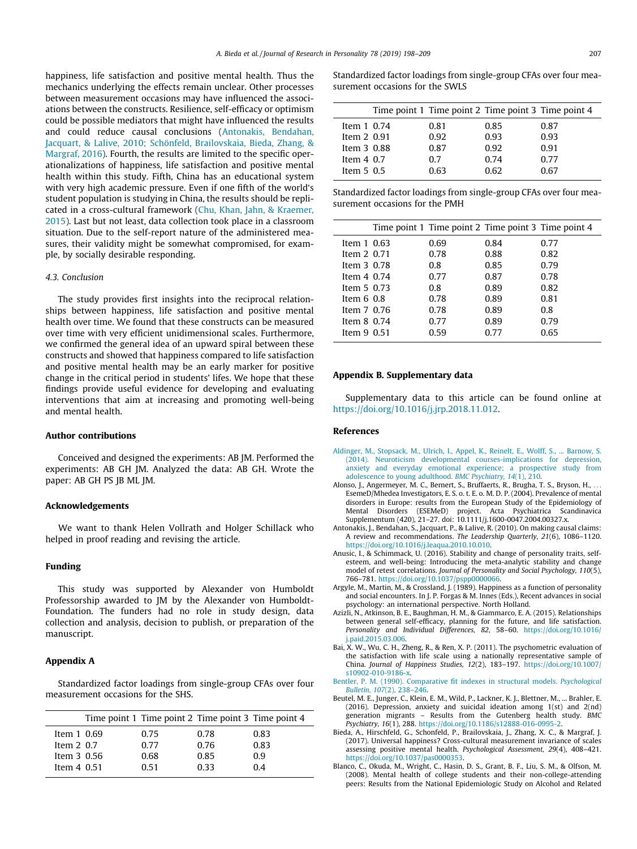<span id="page-9-0"></span>happiness, life satisfaction and positive mental health. Thus the mechanics underlying the effects remain unclear. Other processes between measurement occasions may have influenced the associations between the constructs. Resilience, self-efficacy or optimism could be possible mediators that might have influenced the results and could reduce causal conclusions (Antonakis, Bendahan, Jacquart, & Lalive, 2010; Schönfeld, Brailovskaia, Bieda, Zhang, & Margraf, 2016). Fourth, the results are limited to the specific operationalizations of happiness, life satisfaction and positive mental health within this study. Fifth, China has an educational system with very high academic pressure. Even if one fifth of the world's student population is studying in China, the results should be replicated in a cross-cultural framework ([Chu, Khan, Jahn, & Kraemer,](#page-10-0) [2015\)](#page-10-0). Last but not least, data collection took place in a classroom situation. Due to the self-report nature of the administered measures, their validity might be somewhat compromised, for example, by socially desirable responding.

## 4.3. Conclusion

The study provides first insights into the reciprocal relationships between happiness, life satisfaction and positive mental health over time. We found that these constructs can be measured over time with very efficient unidimensional scales. Furthermore, we confirmed the general idea of an upward spiral between these constructs and showed that happiness compared to life satisfaction and positive mental health may be an early marker for positive change in the critical period in students' lifes. We hope that these findings provide useful evidence for developing and evaluating interventions that aim at increasing and promoting well-being and mental health.

## Author contributions

Conceived and designed the experiments: AB JM. Performed the experiments: AB GH JM. Analyzed the data: AB GH. Wrote the paper: AB GH PS JB ML JM.

## Acknowledgements

We want to thank Helen Vollrath and Holger Schillack who helped in proof reading and revising the article.

## Funding

This study was supported by Alexander von Humboldt Professorship awarded to JM by the Alexander von Humboldt-Foundation. The funders had no role in study design, data collection and analysis, decision to publish, or preparation of the manuscript.

## Appendix A

Standardized factor loadings from single-group CFAs over four measurement occasions for the SHS.

| 0.75                                                                | 0.78 | 0.83                                                |
|---------------------------------------------------------------------|------|-----------------------------------------------------|
| 0.77                                                                | 0.76 | 0.83                                                |
| 0.68                                                                | 0.85 | 0.9                                                 |
| 0.51                                                                | 0.33 | 0.4                                                 |
| Item $1\,0.69$<br>Item $2\,0.7$<br>Item $3\,0.56$<br>Item $4\,0.51$ |      | Time point 1 Time point 2 Time point 3 Time point 4 |

Standardized factor loadings from single-group CFAs over four measurement occasions for the SWLS

|                | Time point 1 Time point 2 Time point 3 Time point 4 |      |      |
|----------------|-----------------------------------------------------|------|------|
| Item $1\,0.74$ | 0.81                                                | 0.85 | 0.87 |
| Item 2 0.91    | 0.92                                                | 0.93 | 0.93 |
| Item 3 0.88    | 0.87                                                | 0.92 | 0.91 |
| Item $4\,0.7$  | 0. Z                                                | 0.74 | 0.77 |
| Item $5\,0.5$  | 0.63                                                | 0.62 | በ 67 |

Standardized factor loadings from single-group CFAs over four measurement occasions for the PMH

|                | Time point 1 Time point 2 Time point 3 Time point 4 |      |      |
|----------------|-----------------------------------------------------|------|------|
| Item 1 0.63    | 0.69                                                | 0.84 | 0.77 |
| Item 2 0.71    | 0.78                                                | 0.88 | 0.82 |
| Item 3 0.78    | 0.8                                                 | 0.85 | 0.79 |
| Item $4\,0.74$ | 0.77                                                | 0.87 | 0.78 |
| Item $5\,0.73$ | 0.8                                                 | 0.89 | 0.82 |
| Item $6.08$    | 0.78                                                | 0.89 | 0.81 |
| Item 7 0.76    | 0.78                                                | 0.89 | 0.8  |
| Item $8$ 0.74  | 0.77                                                | 0.89 | 0.79 |
| Item $9\,0.51$ | 0.59                                                | 0.77 | 0.65 |

#### Appendix B. Supplementary data

Supplementary data to this article can be found online at [https://doi.org/10.1016/j.jrp.2018.11.012.](https://doi.org/10.1016/j.jrp.2018.11.012)

## References

- [Aldinger, M., Stopsack, M., Ulrich, I., Appel, K., Reinelt, E., Wolff, S., ... Barnow, S.](http://refhub.elsevier.com/S0092-6566(18)30371-4/h0005) [\(2014\). Neuroticism developmental courses-implications for depression,](http://refhub.elsevier.com/S0092-6566(18)30371-4/h0005) [anxiety and everyday emotional experience; a prospective study from](http://refhub.elsevier.com/S0092-6566(18)30371-4/h0005) [adolescence to young adulthood.](http://refhub.elsevier.com/S0092-6566(18)30371-4/h0005) BMC Psychiatry, 14(1), 210.
- Alonso, J., Angermeyer, M. C., Bernert, S., Bruffaerts, R., Brugha, T. S., Bryson, H., EsemeD/Mhedea Investigators, E. S. o. t. E. o. M. D. P. (2004). Prevalence of mental disorders in Europe: results from the European Study of the Epidemiology of Mental Disorders (ESEMeD) project. Acta Psychiatrica Scandinavica Supplementum (420), 21–27. doi: 10.1111/j.1600-0047.2004.00327.x.
- Antonakis, J., Bendahan, S., Jacquart, P., & Lalive, R. (2010). On making causal claims: A review and recommendations. The Leadership Quarterly, 21(6), 1086–1120. <https://doi.org/10.1016/j.leaqua.2010.10.010>.
- Anusic, I., & Schimmack, U. (2016). Stability and change of personality traits, selfesteem, and well-being: Introducing the meta-analytic stability and change model of retest correlations. Journal of Personality and Social Psychology, 110(5), 766–781. <https://doi.org/10.1037/pspp0000066>.
- Argyle, M., Martin, M., & Crossland, J. (1989). Happiness as a function of personality and social encounters. In J. P. Forgas & M. Innes (Eds.), Recent advances in social psychology: an international perspective. North Holland.
- Azizli, N., Atkinson, B. E., Baughman, H. M., & Giammarco, E. A. (2015). Relationships between general self-efficacy, planning for the future, and life satisfaction. Personality and Individual Differences, 82, 58–60. [https://doi.org/10.1016/](https://doi.org/10.1016/j.paid.2015.03.006) [j.paid.2015.03.006.](https://doi.org/10.1016/j.paid.2015.03.006)
- Bai, X. W., Wu, C. H., Zheng, R., & Ren, X. P. (2011). The psychometric evaluation of the satisfaction with life scale using a nationally representative sample of China. Journal of Happiness Studies, 12(2), 183–197. [https://doi.org/10.1007/](https://doi.org/10.1007/s10902-010-9186-x) [s10902-010-9186-x.](https://doi.org/10.1007/s10902-010-9186-x)
- [Bentler, P. M. \(1990\). Comparative fit indexes in structural models.](http://refhub.elsevier.com/S0092-6566(18)30371-4/h0040) Psychological Bulletin, 107[\(2\), 238–246](http://refhub.elsevier.com/S0092-6566(18)30371-4/h0040).
- Beutel, M. E., Junger, C., Klein, E. M., Wild, P., Lackner, K. J., Blettner, M., ... Brahler, E. (2016). Depression, anxiety and suicidal ideation among 1(st) and 2(nd) generation migrants – Results from the Gutenberg health study. BMC Psychiatry, 16(1), 288. [https://doi.org/10.1186/s12888-016-0995-2.](https://doi.org/10.1186/s12888-016-0995-2)
- Bieda, A., Hirschfeld, G., Schonfeld, P., Brailovskaia, J., Zhang, X. C., & Margraf, J. (2017). Universal happiness? Cross-cultural measurement invariance of scales assessing positive mental health. Psychological Assessment, 29(4), 408–421. [https://doi.org/10.1037/pas0000353.](https://doi.org/10.1037/pas0000353)
- Blanco, C., Okuda, M., Wright, C., Hasin, D. S., Grant, B. F., Liu, S. M., & Olfson, M. (2008). Mental health of college students and their non-college-attending peers: Results from the National Epidemiologic Study on Alcohol and Related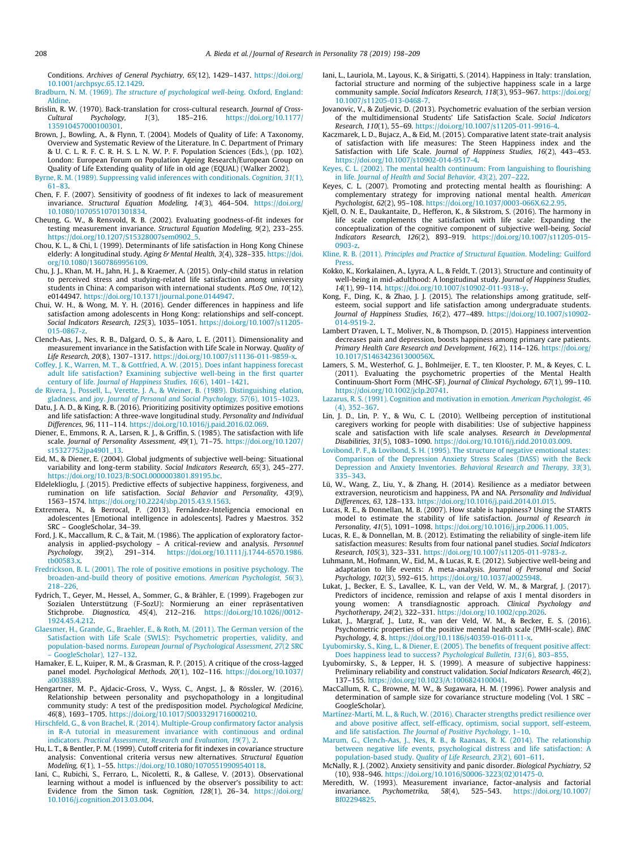<span id="page-10-0"></span>Conditions. Archives of General Psychiatry, 65(12), 1429–1437. [https://doi.org/](https://doi.org/10.1001/archpsyc.65.12.1429) [10.1001/archpsyc.65.12.1429](https://doi.org/10.1001/archpsyc.65.12.1429).

Bradburn, N. M. (1969). [The structure of psychological well-being](http://refhub.elsevier.com/S0092-6566(18)30371-4/h0065). Oxford, England: [Aldine](http://refhub.elsevier.com/S0092-6566(18)30371-4/h0065).

- Brislin, R. W. (1970). Back-translation for cross-cultural research. Journal of Cross-<br>Cultural Psychology, 1(3), 185-216. https://doi.org/10.1177/ [https://doi.org/10.1177/](https://doi.org/10.1177/135910457000100301) [135910457000100301.](https://doi.org/10.1177/135910457000100301)
- Brown, J., Bowling, A., & Flynn, T. (2004). Models of Quality of Life: A Taxonomy, Overview and Systematic Review of the Literature. In C. Department of Primary & U. C. L. R. F. C. R. H. S. L. N. W. P. F. Population Sciences (Eds.), (pp. 102). London: European Forum on Population Ageing Research/European Group on Quality of Life Extending quality of life in old age (EQUAL) (Walker 2002).
- [Byrne, R. M. \(1989\). Suppressing valid inferences with conditionals.](http://refhub.elsevier.com/S0092-6566(18)30371-4/h0080) Cognition, 31(1), [61–83.](http://refhub.elsevier.com/S0092-6566(18)30371-4/h0080)
- Chen, F. F. (2007). Sensitivity of goodness of fit indexes to lack of measurement invariance. Structural Equation Modeling, 14(3), 464–504. [https://doi.org/](https://doi.org/10.1080/10705510701301834) [10.1080/10705510701301834.](https://doi.org/10.1080/10705510701301834)
- Cheung, G. W., & Rensvold, R. B. (2002). Evaluating goodness-of-fit indexes for testing measurement invariance. Structural Equation Modeling, 9(2), 233–255. [https://doi.org/10.1207/S15328007sem0902\\_5.](https://doi.org/10.1207/S15328007sem0902_5)
- Chou, K. L., & Chi, I. (1999). Determinants of life satisfaction in Hong Kong Chinese elderly: A longitudinal study. Aging & Mental Health, 3(4), 328-335. [https://doi.](https://doi.org/10.1080/13607869956109) [org/10.1080/13607869956109.](https://doi.org/10.1080/13607869956109)
- Chu, J. J., Khan, M. H., Jahn, H. J., & Kraemer, A. (2015). Only-child status in relation to perceived stress and studying-related life satisfaction among university students in China: A comparison with international students. PLoS One, 10(12), e0144947. <https://doi.org/10.1371/journal.pone.0144947>.
- Chui, W. H., & Wong, M. Y. H. (2016). Gender differences in happiness and life satisfaction among adolescents in Hong Kong: relationships and self-concept. Social Indicators Research, 125(3), 1035–1051. [https://doi.org/10.1007/s11205-](https://doi.org/10.1007/s11205-015-0867-z) [015-0867-z.](https://doi.org/10.1007/s11205-015-0867-z)
- Clench-Aas, J., Nes, R. B., Dalgard, O. S., & Aaro, L. E. (2011). Dimensionality and measurement invariance in the Satisfaction with Life Scale in Norway. Quality of Life Research, 20(8), 1307–1317. <https://doi.org/10.1007/s11136-011-9859-x>.
- [Coffey, J. K., Warren, M. T., & Gottfried, A. W. \(2015\). Does infant happiness forecast](http://refhub.elsevier.com/S0092-6566(18)30371-4/h0115) [adult life satisfaction? Examining subjective well-being in the first quarter](http://refhub.elsevier.com/S0092-6566(18)30371-4/h0115) century of life. [Journal of Happiness Studies, 16](http://refhub.elsevier.com/S0092-6566(18)30371-4/h0115)(6), 1401–1421.
- [de Rivera, J., Possell, L., Verette, J. A., & Weiner, B. \(1989\). Distinguishing elation,](http://refhub.elsevier.com/S0092-6566(18)30371-4/h0120) gladness, and joy. [Journal of Personal and Social Psychology, 57](http://refhub.elsevier.com/S0092-6566(18)30371-4/h0120)(6), 1015–1023.
- Datu, J. A. D., & King, R. B. (2016). Prioritizing positivity optimizes positive emotions and life satisfaction: A three-wave longitudinal study. Personality and Individual Differences, 96, 111–114. <https://doi.org/10.1016/j.paid.2016.02.069>.
- Diener, E., Emmons, R. A., Larsen, R. J., & Griffin, S. (1985). The satisfaction with life scale. Journal of Personality Assessment, 49(1), 71–75. [https://doi.org/10.1207/](https://doi.org/10.1207/s15327752jpa4901_13) [s15327752jpa4901\\_13](https://doi.org/10.1207/s15327752jpa4901_13).
- Eid, M., & Diener, E. (2004). Global judgments of subjective well-being: Situational variability and long-term stability. Social Indicators Research, 65(3), 245–277. <https://doi.org/10.1023/B:SOCI.0000003801.89195.bc>.
- Eldeleklioglu, J. (2015). Predictive effects of subjective happiness, forgiveness, and rumination on life satisfaction. Social Behavior and Personality, 43(9), 1563–1574. <https://doi.org/10.2224/sbp.2015.43.9.1563>.
- Extremera, N., & Berrocal, P. (2013). Fernández-Inteligencia emocional en adolescentes [Emotional intelligence in adolescents]. Padres y Maestros. 352 SRC – GoogleScholar, 34–39.
- Ford, J. K., Maccallum, R. C., & Tait, M. (1986). The application of exploratory factoranalysis in applied-psychology – A critical-review and analysis. *Personnel*<br>Psychology, 39(2), 291–314. [https://doi.org/10.1111/j.1744-6570.1986.](https://doi.org/10.1111/j.1744-6570.1986.tb00583.x) [tb00583.x](https://doi.org/10.1111/j.1744-6570.1986.tb00583.x).
- [Fredrickson, B. L. \(2001\). The role of positive emotions in positive psychology. The](http://refhub.elsevier.com/S0092-6566(18)30371-4/h0155) [broaden-and-build theory of positive emotions.](http://refhub.elsevier.com/S0092-6566(18)30371-4/h0155) American Psychologist, 56(3), [218–226](http://refhub.elsevier.com/S0092-6566(18)30371-4/h0155).
- Fydrich, T., Geyer, M., Hessel, A., Sommer, G., & Brähler, E. (1999). Fragebogen zur Sozialen Unterstützung (F-SozU): Normierung an einer repräsentativen Stichprobe. Diagnostica, 45(4), 212–216. [https://doi.org/10.1026//0012-](https://doi.org/10.1026//0012-1924.45.4.212) [1924.45.4.212.](https://doi.org/10.1026//0012-1924.45.4.212)
- [Glaesmer, H., Grande, G., Braehler, E., & Roth, M. \(2011\). The German version of the](http://refhub.elsevier.com/S0092-6566(18)30371-4/h0165) [Satisfaction with Life Scale \(SWLS\): Psychometric properties, validity, and](http://refhub.elsevier.com/S0092-6566(18)30371-4/h0165) population-based norms. [European Journal of Psychological Assessment, 27](http://refhub.elsevier.com/S0092-6566(18)30371-4/h0165)(2 SRC [– GoogleScholar\), 127–132](http://refhub.elsevier.com/S0092-6566(18)30371-4/h0165).
- Hamaker, E. L., Kuiper, R. M., & Grasman, R. P. (2015). A critique of the cross-lagged panel model. Psychological Methods, 20(1), 102–116. [https://doi.org/10.1037/](https://doi.org/10.1037/a0038889) [a0038889.](https://doi.org/10.1037/a0038889)
- Hengartner, M. P., Ajdacic-Gross, V., Wyss, C., Angst, J., & Rössler, W. (2016). Relationship between personality and psychopathology in a longitudinal community study: A test of the predisposition model. Psychological Medicine, 46(8), 1693–1705. [https://doi.org/10.1017/S0033291716000210.](https://doi.org/10.1017/S0033291716000210)
- [Hirschfeld, G., & von Brachel, R. \(2014\). Multiple-Group confirmatory factor analysis](http://refhub.elsevier.com/S0092-6566(18)30371-4/h0185) [in R-A tutorial in measurement invariance with continuous and ordinal](http://refhub.elsevier.com/S0092-6566(18)30371-4/h0185) indicators. [Practical Assessment, Research and Evaluation, 19](http://refhub.elsevier.com/S0092-6566(18)30371-4/h0185)(7), 2.
- Hu, L. T., & Bentler, P. M. (1999). Cutoff criteria for fit indexes in covariance structure analysis: Conventional criteria versus new alternatives. Structural Equation Modeling, 6(1), 1–55. <https://doi.org/10.1080/10705519909540118>.
- Iani, C., Rubichi, S., Ferraro, L., Nicoletti, R., & Gallese, V. (2013). Observational learning without a model is influenced by the observer's possibility to act: Evidence from the Simon task. Cognition, 128(1), 26–34. [https://doi.org/](https://doi.org/10.1016/j.cognition.2013.03.004) [10.1016/j.cognition.2013.03.004](https://doi.org/10.1016/j.cognition.2013.03.004).
- Iani, L., Lauriola, M., Layous, K., & Sirigatti, S. (2014). Happiness in Italy: translation, factorial structure and norming of the subjective happiness scale in a large community sample. Social Indicators Research, 118(3), 953–967. [https://doi.org/](https://doi.org/10.1007/s11205-013-0468-7) [10.1007/s11205-013-0468-7.](https://doi.org/10.1007/s11205-013-0468-7)
- Jovanovic, V., & Zuljevic, D. (2013). Psychometric evaluation of the serbian version of the multidimensional Students' Life Satisfaction Scale. Social Indicators Research, 110(1), 55–69. [https://doi.org/10.1007/s11205-011-9916-4.](https://doi.org/10.1007/s11205-011-9916-4)
- Kaczmarek, L. D., Bujacz, A., & Eid, M. (2015). Comparative latent state-trait analysis of satisfaction with life measures: The Steen Happiness index and the Satisfaction with Life Scale. Journal of Happiness Studies, 16(2), 443–453. [https://doi.org/10.1007/s10902-014-9517-4.](https://doi.org/10.1007/s10902-014-9517-4)
- [Keyes, C. L. \(2002\). The mental health continuum: From languishing to flourishing](http://refhub.elsevier.com/S0092-6566(18)30371-4/h0215) in life. [Journal of Health and Social Behavior, 43](http://refhub.elsevier.com/S0092-6566(18)30371-4/h0215)(2), 207–222.
- Keyes, C. L. (2007). Promoting and protecting mental health as flourishing: A complementary strategy for improving national mental health. American Psychologist, 62(2), 95–108. <https://doi.org/10.1037/0003-066X.62.2.95>.
- Kjell, O. N. E., Daukantaite, D., Hefferon, K., & Sikstrom, S. (2016). The harmony in life scale complements the satisfaction with life scale: Expanding the conceptualization of the cognitive component of subjective well-being. Social Indicators Research, 126(2), 893–919. [https://doi.org/10.1007/s11205-015-](https://doi.org/10.1007/s11205-015-0903-z) [0903-z.](https://doi.org/10.1007/s11205-015-0903-z)
- Kline, R. B. (2011). [Principles and Practice of Structural Equation](http://refhub.elsevier.com/S0092-6566(18)30371-4/h0230). Modeling: Guilford [Press](http://refhub.elsevier.com/S0092-6566(18)30371-4/h0230).
- Kokko, K., Korkalainen, A., Lyyra, A. L., & Feldt, T. (2013). Structure and continuity of well-being in mid-adulthood: A longitudinal study. Journal of Happiness Studies, 14(1), 99–114. <https://doi.org/10.1007/s10902-011-9318-y>.
- Kong, F., Ding, K., & Zhao, J. J. (2015). The relationships among gratitude, selfesteem, social support and life satisfaction among undergraduate students. Journal of Happiness Studies, 16(2), 477–489. [https://doi.org/10.1007/s10902-](https://doi.org/10.1007/s10902-014-9519-2) [014-9519-2](https://doi.org/10.1007/s10902-014-9519-2).
- Lambert D'raven, L. T., Moliver, N., & Thompson, D. (2015). Happiness intervention decreases pain and depression, boosts happiness among primary care patients. Primary Health Care Research and Development, 16(2), 114-126. [https://doi.org/](https://doi.org/10.1017/S146342361300056X) [10.1017/S146342361300056X](https://doi.org/10.1017/S146342361300056X).
- Lamers, S. M., Westerhof, G. J., Bohlmeijer, E. T., ten Klooster, P. M., & Keyes, C. L. (2011). Evaluating the psychometric properties of the Mental Health Continuum-Short Form (MHC-SF). Journal of Clinical Psychology, 67(1), 99–110. [https://doi.org/10.1002/jclp.20741.](https://doi.org/10.1002/jclp.20741)
- [Lazarus, R. S. \(1991\). Cognition and motivation in emotion.](http://refhub.elsevier.com/S0092-6566(18)30371-4/h0260) American Psychologist, 46 [\(4\), 352–367.](http://refhub.elsevier.com/S0092-6566(18)30371-4/h0260)
- Lin, J. D., Lin, P. Y., & Wu, C. L. (2010). Wellbeing perception of institutional caregivers working for people with disabilities: Use of subjective happiness scale and satisfaction with life scale analyses. Research in Developmental Disabilities, 31(5), 1083–1090. <https://doi.org/10.1016/j.ridd.2010.03.009>.
- [Lovibond, P. F., & Lovibond, S. H. \(1995\). The structure of negative emotional states:](http://refhub.elsevier.com/S0092-6566(18)30371-4/h0270) [Comparison of the Depression Anxiety Stress Scales \(DASS\) with the Beck](http://refhub.elsevier.com/S0092-6566(18)30371-4/h0270) [Depression and Anxiety Inventories.](http://refhub.elsevier.com/S0092-6566(18)30371-4/h0270) Behavioral Research and Therapy, 33(3), [335–343](http://refhub.elsevier.com/S0092-6566(18)30371-4/h0270).
- Lü, W., Wang, Z., Liu, Y., & Zhang, H. (2014). Resilience as a mediator between extraversion, neuroticism and happiness, PA and NA. Personality and Individual Differences, 63, 128–133. <https://doi.org/10.1016/j.paid.2014.01.015>.
- Lucas, R. E., & Donnellan, M. B. (2007). How stable is happiness? Using the STARTS model to estimate the stability of life satisfaction. Journal of Research in Personality, 41(5), 1091–1098. <https://doi.org/10.1016/j.jrp.2006.11.005>.
- Lucas, R. E., & Donnellan, M. B. (2012). Estimating the reliability of single-item life satisfaction measures: Results from four national panel studies. Social Indicators Research, 105(3), 323–331. [https://doi.org/10.1007/s11205-011-9783-z.](https://doi.org/10.1007/s11205-011-9783-z)
- Luhmann, M., Hofmann, W., Eid, M., & Lucas, R. E. (2012). Subjective well-being and adaptation to life events: A meta-analysis. Journal of Personal and Social Psychology, 102(3), 592–615. <https://doi.org/10.1037/a0025948>.
- Lukat, J., Becker, E. S., Lavallee, K. L., van der Veld, W. M., & Margraf, J. (2017). Predictors of incidence, remission and relapse of axis I mental disorders in young women: A transdiagnostic approach. Clinical Psychology and Psychotherapy, 24(2), 322–331. <https://doi.org/10.1002/cpp.2026>.
- Lukat, J., Margraf, J., Lutz, R., van der Veld, W. M., & Becker, E. S. (2016). Psychometric properties of the positive mental health scale (PMH-scale). BMC Psychology, 4, 8. [https://doi.org/10.1186/s40359-016-0111-x.](https://doi.org/10.1186/s40359-016-0111-x)
- [Lyubomirsky, S., King, L., & Diener, E. \(2005\). The benefits of frequent positive affect:](http://refhub.elsevier.com/S0092-6566(18)30371-4/h0300) [Does happiness lead to success?](http://refhub.elsevier.com/S0092-6566(18)30371-4/h0300) Psychological Bulletin, 131(6), 803–855.
- Lyubomirsky, S., & Lepper, H. S. (1999). A measure of subjective happiness: Preliminary reliability and construct validation. Social Indicators Research, 46(2), 137–155. [https://doi.org/10.1023/A:1006824100041.](https://doi.org/10.1023/A:1006824100041)
- MacCallum, R. C., Browne, M. W., & Sugawara, H. M. (1996). Power analysis and determination of sample size for covariance structure modeling (Vol. 1 SRC – GoogleScholar).
- [Martínez-Martí, M. L., & Ruch, W. \(2016\). Character strengths predict resilience over](http://refhub.elsevier.com/S0092-6566(18)30371-4/h0315) [and above positive affect, self-efficacy, optimism, social support, self-esteem,](http://refhub.elsevier.com/S0092-6566(18)30371-4/h0315) and life satisfaction. [The Journal of Positive Psychology](http://refhub.elsevier.com/S0092-6566(18)30371-4/h0315), 1–10.
- [Marum, G., Clench-Aas, J., Nes, R. B., & Raanaas, R. K. \(2014\). The relationship](http://refhub.elsevier.com/S0092-6566(18)30371-4/h0320) [between negative life events, psychological distress and life satisfaction: A](http://refhub.elsevier.com/S0092-6566(18)30371-4/h0320) population-based study. [Quality of Life Research, 23](http://refhub.elsevier.com/S0092-6566(18)30371-4/h0320)(2), 601–611.
- McNally, R. J. (2002). Anxiety sensitivity and panic disorder. Biological Psychiatry, 52 (10), 938–946. [https://doi.org/10.1016/S0006-3223\(02\)01475-0.](https://doi.org/10.1016/S0006-3223(02)01475-0)
- Meredith, W. (1993). Measurement invariance, factor-analysis and factorial invariance. Psychometrika, 58(4), 525–543. [https://doi.org/10.1007/](https://doi.org/10.1007/Bf02294825) [Bf02294825](https://doi.org/10.1007/Bf02294825).